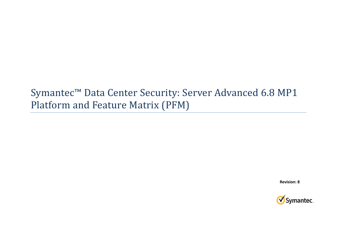# Symantec™ Data Center Security: Server Advanced 6.8 MP1 Platform and Feature Matrix (PFM)

**Revision: 8**

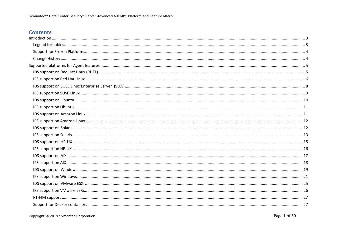## **Contents**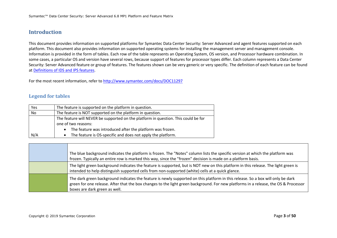### **Introduction**

This document provides information on supported platforms for Symantec Data Center Security: Server Advanced and agent features supported on each platform. This document also provides information on supported operating systems for installing the management server and management console. Information is provided in the form of tables. Each row of the table represents an Operating System, OS version, and Processor hardware combination. In some cases, a particular OS and version have several rows, because support of features for processor types differ. Each column represents a Data Center Security: Server Advanced feature or group of features. The features shown can be very generic or very specific. The definition of each feature can be found at Definitions of IDS and IPS features.

For the most recent information, refer to http://www.symantec.com/docs/DOC11297

#### **Legend for tables**

| Yes | The feature is supported on the platform in question.                              |
|-----|------------------------------------------------------------------------------------|
| No  | The feature is NOT supported on the platform in question.                          |
|     | The feature will NEVER be supported on the platform in question. This could be for |
|     | one of two reasons:                                                                |
|     | The feature was introduced after the platform was frozen.<br>$\bullet$             |
| N/A | The feature is OS-specific and does not apply the platform.<br>$\bullet$           |

|  | The blue background indicates the platform is frozen. The "Notes" column lists the specific version at which the platform was<br>frozen. Typically an entire row is marked this way, since the "frozen" decision is made on a platform basis.                                                           |
|--|---------------------------------------------------------------------------------------------------------------------------------------------------------------------------------------------------------------------------------------------------------------------------------------------------------|
|  | The light green background indicates the feature is supported, but is NOT new on this platform in this release. The light green is<br>intended to help distinguish supported cells from non-supported (white) cells at a quick glance.                                                                  |
|  | The dark green background indicates the feature is newly supported on this platform in this release. So a box will only be dark<br>green for one release. After that the box changes to the light green background. For new platforms in a release, the OS & Processor<br>boxes are dark green as well. |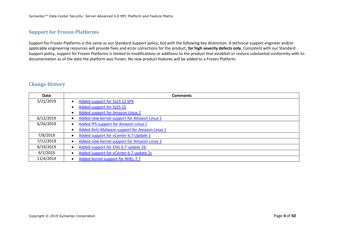### **Support for Frozen Platforms**

Support for Frozen Platforms is the same as our Standard Support policy, but with the following key distinction: A technical support engineer and/or applicable engineering resources will provide fixes and error corrections for the product, **for high severity defects only**. Consistent with our Standard Support policy, support for Frozen Platforms is limited to modifications or additions to the product that establish or restore substantial conformity with its documentation as of the date the platform was frozen. No new product features will be added to a Frozen Platform.

### **Change History**

| Date      | <b>Comments</b>                               |
|-----------|-----------------------------------------------|
| 5/21/2019 | Added support for SLES 12 SP4                 |
|           | Added support for SLES 15                     |
|           | <b>Added support for Amazon Linux 2</b>       |
| 6/12/2019 | Added new kernel support for Amazon Linux 2   |
| 6/26/2019 | Added IPS support for Amazon Linux 1          |
|           | Added Anti-Malware support for Amazon Linux 1 |
| 7/8/2019  | Added support for vCenter 6.7 Update 2        |
| 7/11/2019 | Added new kernel support for Amazon Linux 1   |
| 8/19/2019 | Added support for ESXi 6.7 update 2b          |
| 9/1/2019  | Added support for vCenter 6.7 update 2c       |
| 11/4/2019 | Added kernel support for RHEL 7.7             |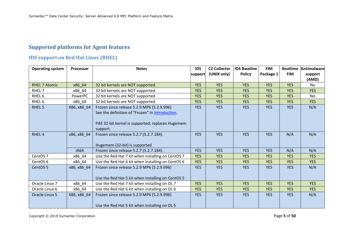# **Supported platforms for Agent features**

# **IDS support on Red Hat Linux (RHEL)**

| <b>Operating system</b> | <b>Processor</b> | <b>Notes</b>                                      | <b>IDS</b> | <b>C2 Collector</b> | <b>IDS Baseline</b> | <b>FIM</b> | Realtime   | Antimalware |
|-------------------------|------------------|---------------------------------------------------|------------|---------------------|---------------------|------------|------------|-------------|
|                         |                  |                                                   | support    | (UNIX only)         | <b>Policy</b>       | Package 1  | <b>FIM</b> | support     |
|                         |                  |                                                   |            |                     |                     |            |            | (AMD)       |
| <b>RHEL 7 Atomic</b>    | x86_64           | 32 bit kernels are NOT supported.                 | <b>YES</b> | <b>YES</b>          | <b>YES</b>          | <b>YES</b> | <b>YES</b> | No.         |
| RHEL 7                  | x86_64           | 32 bit kernels are NOT supported.                 | <b>YES</b> | <b>YES</b>          | <b>YES</b>          | <b>YES</b> | <b>YES</b> | <b>YES</b>  |
| RHEL <sub>6</sub>       | PowerPC          | 32 bit kernels are NOT supported                  | <b>YES</b> | <b>YES</b>          | <b>YES</b>          | <b>YES</b> | <b>YES</b> | No          |
| RHEL <sub>6</sub>       | x86_64           | 32 bit kernels are NOT supported                  | <b>YES</b> | <b>YES</b>          | <b>YES</b>          | <b>YES</b> | <b>YES</b> | <b>YES</b>  |
| RHEL 5                  | X86, x86_64      | Frozen since release 5.2.9 MP6 (5.2.9.996)        | <b>YES</b> | <b>YES</b>          | <b>YES</b>          | <b>YES</b> | <b>YES</b> | N/A         |
|                         |                  | See the definition of "Frozen" in Introduction.   |            |                     |                     |            |            |             |
|                         |                  |                                                   |            |                     |                     |            |            |             |
|                         |                  | PAE 32-bit kernel is supported; replaces Hugemem  |            |                     |                     |            |            |             |
|                         |                  | support.                                          |            |                     |                     |            |            |             |
| RHEL <sub>4</sub>       | x86, x86_64      | Frozen since release 5.2.7 (5.2.7.184).           | <b>YES</b> | <b>YES</b>          | <b>YES</b>          | <b>YES</b> | N/A        | N/A         |
|                         |                  |                                                   |            |                     |                     |            |            |             |
|                         |                  | Hugemem (32-bit) is supported                     |            |                     |                     |            |            |             |
|                         | <b>IA64</b>      | Frozen since release 5.2.7 (5.2.7.184).           | <b>YES</b> | <b>YES</b>          | <b>YES</b>          | <b>YES</b> | N/A        | N/A         |
| CentOS <sub>7</sub>     | x86_64           | Use the Red Hat 7 kit when installing on CentOS 7 | <b>YES</b> | <b>YES</b>          | <b>YES</b>          | <b>YES</b> | <b>YES</b> | <b>YES</b>  |
| CentOS <sub>6</sub>     | x86_64           | Use the Red Hat 6 kit when installing on CentOS 6 | <b>YES</b> | <b>YES</b>          | <b>YES</b>          | <b>YES</b> | <b>YES</b> | <b>YES</b>  |
| CentOS <sub>5</sub>     | x86, x86_64      | Frozen since release 5.2.9 MP6 (5.2.9.996)        | <b>YES</b> | <b>YES</b>          | <b>YES</b>          | <b>YES</b> | <b>YES</b> | N/A         |
|                         |                  |                                                   |            |                     |                     |            |            |             |
|                         |                  | Use the Red Hat 5 kit when installing on CentOS 5 |            |                     |                     |            |            |             |
| Oracle Linux 7          | x86_64           | Use the Red Hat 7 kit when installing on OL 7     | <b>YES</b> | <b>YES</b>          | <b>YES</b>          | <b>YES</b> | <b>YES</b> | <b>YES</b>  |
| Oracle Linux 6          | x86_64           | Use the Red Hat 6 kit when installing on OL 6     | <b>YES</b> | <b>YES</b>          | <b>YES</b>          | <b>YES</b> | <b>YES</b> | <b>YES</b>  |
| Oracle Linux 5          | X86, x86_64      | Frozen since release 5.2.9 MP6 (5.2.9.996)        | <b>YES</b> | <b>YES</b>          | <b>YES</b>          | <b>YES</b> | <b>YES</b> | N/A         |
|                         |                  |                                                   |            |                     |                     |            |            |             |
|                         |                  | Use the Red Hat 5 kit when installing on OL 5     |            |                     |                     |            |            |             |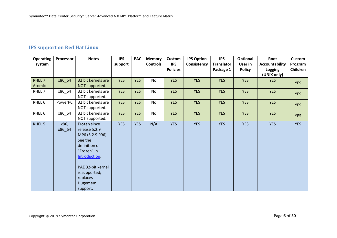# **IPS support on Red Hat Linux**

| <b>Operating</b>  | Processor | <b>Notes</b>        | <b>IPS</b> | <b>PAC</b> | <b>Memory</b>   | Custom          | <b>IPS Option</b> | <b>IPS</b>        | Optional      | Root           | <b>Custom</b> |
|-------------------|-----------|---------------------|------------|------------|-----------------|-----------------|-------------------|-------------------|---------------|----------------|---------------|
| system            |           |                     | support    |            | <b>Controls</b> | <b>IPS</b>      | Consistency       | <b>Translator</b> | User in       | Accountability | Program       |
|                   |           |                     |            |            |                 | <b>Policies</b> |                   | Package 1         | <b>Policy</b> | Logging        | Children      |
|                   |           |                     |            |            |                 |                 |                   |                   |               | (UNIX only)    |               |
| RHEL 7            | x86_64    | 32 bit kernels are  | <b>YES</b> | <b>YES</b> | No              | <b>YES</b>      | <b>YES</b>        | <b>YES</b>        | <b>YES</b>    | <b>YES</b>     | <b>YES</b>    |
| Atomic            |           | NOT supported.      |            |            |                 |                 |                   |                   |               |                |               |
| RHEL 7            | x86_64    | 32 bit kernels are  | <b>YES</b> | <b>YES</b> | No              | <b>YES</b>      | <b>YES</b>        | <b>YES</b>        | <b>YES</b>    | <b>YES</b>     | <b>YES</b>    |
|                   |           | NOT supported.      |            |            |                 |                 |                   |                   |               |                |               |
| RHEL 6            | PowerPC   | 32 bit kernels are  | <b>YES</b> | <b>YES</b> | No              | <b>YES</b>      | <b>YES</b>        | <b>YES</b>        | <b>YES</b>    | <b>YES</b>     | <b>YES</b>    |
|                   |           | NOT supported.      |            |            |                 |                 |                   |                   |               |                |               |
| RHEL 6            | x86_64    | 32 bit kernels are  | <b>YES</b> | <b>YES</b> | No              | <b>YES</b>      | <b>YES</b>        | <b>YES</b>        | <b>YES</b>    | <b>YES</b>     | <b>YES</b>    |
|                   |           | NOT supported.      |            |            |                 |                 |                   |                   |               |                |               |
| RHEL <sub>5</sub> | x86,      | Frozen since        | <b>YES</b> | <b>YES</b> | N/A             | <b>YES</b>      | <b>YES</b>        | <b>YES</b>        | <b>YES</b>    | <b>YES</b>     | <b>YES</b>    |
|                   | x86_64    | release 5.2.9       |            |            |                 |                 |                   |                   |               |                |               |
|                   |           | MP6 (5.2.9.996).    |            |            |                 |                 |                   |                   |               |                |               |
|                   |           | See the             |            |            |                 |                 |                   |                   |               |                |               |
|                   |           | definition of       |            |            |                 |                 |                   |                   |               |                |               |
|                   |           | "Frozen" in         |            |            |                 |                 |                   |                   |               |                |               |
|                   |           | <b>Introduction</b> |            |            |                 |                 |                   |                   |               |                |               |
|                   |           |                     |            |            |                 |                 |                   |                   |               |                |               |
|                   |           | PAE 32-bit kernel   |            |            |                 |                 |                   |                   |               |                |               |
|                   |           | is supported;       |            |            |                 |                 |                   |                   |               |                |               |
|                   |           | replaces            |            |            |                 |                 |                   |                   |               |                |               |
|                   |           | Hugemem             |            |            |                 |                 |                   |                   |               |                |               |
|                   |           | support.            |            |            |                 |                 |                   |                   |               |                |               |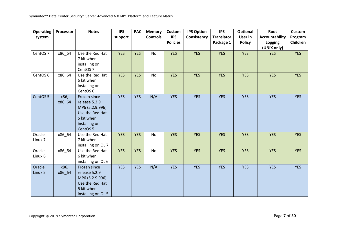| <b>Operating</b>    | Processor      | <b>Notes</b>                        | <b>IPS</b> | <b>PAC</b> | <b>Memory</b>   | <b>Custom</b>   | <b>IPS Option</b> | <b>IPS</b>        | Optional      | Root                  | Custom     |
|---------------------|----------------|-------------------------------------|------------|------------|-----------------|-----------------|-------------------|-------------------|---------------|-----------------------|------------|
| system              |                |                                     | support    |            | <b>Controls</b> | <b>IPS</b>      | Consistency       | <b>Translator</b> | User in       | <b>Accountability</b> | Program    |
|                     |                |                                     |            |            |                 | <b>Policies</b> |                   | Package 1         | <b>Policy</b> | Logging               | Children   |
|                     |                |                                     |            |            |                 |                 |                   |                   |               | (UNIX only)           |            |
| CentOS <sub>7</sub> | x86_64         | Use the Red Hat                     | <b>YES</b> | <b>YES</b> | No              | <b>YES</b>      | <b>YES</b>        | <b>YES</b>        | <b>YES</b>    | <b>YES</b>            | <b>YES</b> |
|                     |                | 7 kit when                          |            |            |                 |                 |                   |                   |               |                       |            |
|                     |                | installing on                       |            |            |                 |                 |                   |                   |               |                       |            |
|                     |                | CentOS <sub>7</sub>                 |            |            |                 |                 |                   |                   |               |                       |            |
| CentOS <sub>6</sub> | x86_64         | Use the Red Hat                     | <b>YES</b> | <b>YES</b> | <b>No</b>       | <b>YES</b>      | <b>YES</b>        | <b>YES</b>        | <b>YES</b>    | <b>YES</b>            | <b>YES</b> |
|                     |                | 6 kit when                          |            |            |                 |                 |                   |                   |               |                       |            |
|                     |                | installing on                       |            |            |                 |                 |                   |                   |               |                       |            |
| CentOS <sub>5</sub> |                | CentOS <sub>6</sub><br>Frozen since | <b>YES</b> | <b>YES</b> | N/A             | <b>YES</b>      | <b>YES</b>        | <b>YES</b>        | <b>YES</b>    | <b>YES</b>            | <b>YES</b> |
|                     | x86,<br>x86_64 | release 5.2.9                       |            |            |                 |                 |                   |                   |               |                       |            |
|                     |                | MP6 (5.2.9.996)                     |            |            |                 |                 |                   |                   |               |                       |            |
|                     |                | Use the Red Hat                     |            |            |                 |                 |                   |                   |               |                       |            |
|                     |                | 5 kit when                          |            |            |                 |                 |                   |                   |               |                       |            |
|                     |                | installing on                       |            |            |                 |                 |                   |                   |               |                       |            |
|                     |                | CentOS <sub>5</sub>                 |            |            |                 |                 |                   |                   |               |                       |            |
| Oracle              | x86_64         | Use the Red Hat                     | <b>YES</b> | <b>YES</b> | No              | <b>YES</b>      | <b>YES</b>        | <b>YES</b>        | <b>YES</b>    | <b>YES</b>            | <b>YES</b> |
| Linux <sub>7</sub>  |                | 7 kit when                          |            |            |                 |                 |                   |                   |               |                       |            |
|                     |                | installing on OL 7                  |            |            |                 |                 |                   |                   |               |                       |            |
| Oracle              | x86_64         | Use the Red Hat                     | <b>YES</b> | <b>YES</b> | No              | <b>YES</b>      | <b>YES</b>        | <b>YES</b>        | <b>YES</b>    | <b>YES</b>            | <b>YES</b> |
| Linux 6             |                | 6 kit when                          |            |            |                 |                 |                   |                   |               |                       |            |
|                     |                | installing on OL 6                  |            |            |                 |                 |                   |                   |               |                       |            |
| Oracle              | x86,           | Frozen since                        | <b>YES</b> | <b>YES</b> | N/A             | <b>YES</b>      | <b>YES</b>        | <b>YES</b>        | <b>YES</b>    | <b>YES</b>            | <b>YES</b> |
| Linux 5             | x86_64         | release 5.2.9                       |            |            |                 |                 |                   |                   |               |                       |            |
|                     |                | MP6 (5.2.9.996).                    |            |            |                 |                 |                   |                   |               |                       |            |
|                     |                | Use the Red Hat                     |            |            |                 |                 |                   |                   |               |                       |            |
|                     |                | 5 kit when                          |            |            |                 |                 |                   |                   |               |                       |            |
|                     |                | installing on OL 5                  |            |            |                 |                 |                   |                   |               |                       |            |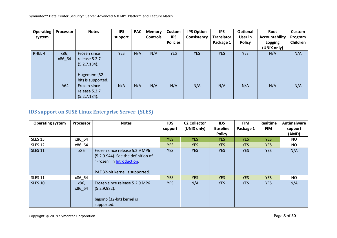| <b>Operating</b><br>system | Processor      | <b>Notes</b>                                                                        | <b>IPS</b><br>support | <b>PAC</b> | <b>Memory</b><br><b>Controls</b> | <b>Custom</b><br><b>IPS</b><br><b>Policies</b> | <b>IPS Option</b><br>Consistency | <b>IPS</b><br><b>Translator</b><br>Package 1 | Optional<br>User in<br><b>Policy</b> | Root<br>Accountability<br>Logging | Custom<br>Program<br>Children |
|----------------------------|----------------|-------------------------------------------------------------------------------------|-----------------------|------------|----------------------------------|------------------------------------------------|----------------------------------|----------------------------------------------|--------------------------------------|-----------------------------------|-------------------------------|
|                            |                |                                                                                     |                       |            |                                  |                                                |                                  |                                              |                                      | (UNIX only)                       |                               |
| RHEL <sub>4</sub>          | x86,<br>x86_64 | Frozen since<br>release 5.2.7<br>(5.2.7.184).<br>Hugemem (32-<br>bit) is supported. | <b>YES</b>            | N/A        | N/A                              | <b>YES</b>                                     | <b>YES</b>                       | <b>YES</b>                                   | <b>YES</b>                           | N/A                               | N/A                           |
|                            | <b>IA64</b>    | Frozen since<br>release 5.2.7<br>(5.2.7.184).                                       | N/A                   | N/A        | N/A                              | N/A                                            | N/A                              | N/A                                          | N/A                                  | N/A                               | N/A                           |

# **IDS support on SUSE Linux Enterprise Server (SLES)**

| <b>Operating system</b> | <b>Processor</b> | <b>Notes</b>                                                                                                                         | <b>IDS</b> | <b>C2 Collector</b> | <b>IDS</b>      | <b>FIM</b> | <b>Realtime</b> | Antimalware |
|-------------------------|------------------|--------------------------------------------------------------------------------------------------------------------------------------|------------|---------------------|-----------------|------------|-----------------|-------------|
|                         |                  |                                                                                                                                      | support    | (UNIX only)         | <b>Baseline</b> | Package 1  | <b>FIM</b>      | support     |
|                         |                  |                                                                                                                                      |            |                     | <b>Policy</b>   |            |                 | (AMD)       |
| <b>SLES 15</b>          | x86_64           |                                                                                                                                      | <b>YES</b> | <b>YES</b>          | YES.            | <b>YES</b> | <b>YES</b>      | NO.         |
| <b>SLES 12</b>          | x86_64           |                                                                                                                                      | <b>YES</b> | <b>YES</b>          | <b>YES</b>      | <b>YES</b> | <b>YES</b>      | NO          |
| <b>SLES 11</b>          | x86              | Frozen since release 5.2.9 MP6<br>(5.2.9.944). See the definition of<br>"Frozen" in Introduction.<br>PAE 32-bit kernel is supported. | <b>YES</b> | <b>YES</b>          | <b>YES</b>      | <b>YES</b> | <b>YES</b>      | N/A         |
| <b>SLES 11</b>          | x86 64           |                                                                                                                                      | <b>YES</b> | <b>YES</b>          | <b>YES</b>      | <b>YES</b> | <b>YES</b>      | NO          |
| <b>SLES 10</b>          | x86,<br>x86 64   | Frozen since release 5.2.9 MP6<br>(5.2.9.982).<br>bigsmp (32-bit) kernel is<br>supported.                                            | <b>YES</b> | N/A                 | <b>YES</b>      | <b>YES</b> | <b>YES</b>      | N/A         |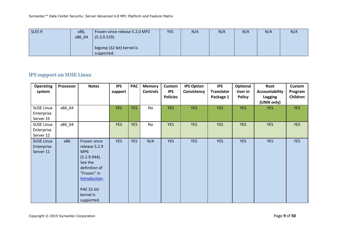Symantec™ Data Center Security: Server Advanced 6.8 MP1 Platform and Feature Matrix

| SLES <sub>9</sub> | x86,   | Frozen since release 5.2.0 MP2 | <b>YES</b> | N/A | N/A | N/A | N/A | N/A |
|-------------------|--------|--------------------------------|------------|-----|-----|-----|-----|-----|
|                   | x86 64 | (5.2.0.519).                   |            |     |     |     |     |     |
|                   |        |                                |            |     |     |     |     |     |
|                   |        | bigsmp (32-bit) kernel is      |            |     |     |     |     |     |
|                   |        | supported.                     |            |     |     |     |     |     |

# **IPS support on SUSE Linux**

| <b>Operating</b><br>system                   | Processor | <b>Notes</b>                                                                                                                                                         | <b>IPS</b><br>support | <b>PAC</b> | <b>Memory</b><br><b>Controls</b> | Custom<br><b>IPS</b><br><b>Policies</b> | <b>IPS Option</b><br>Consistency | <b>IPS</b><br><b>Translator</b><br>Package 1 | Optional<br>User in<br><b>Policy</b> | Root<br><b>Accountability</b><br>Logging<br>(UNIX only) | Custom<br>Program<br>Children |
|----------------------------------------------|-----------|----------------------------------------------------------------------------------------------------------------------------------------------------------------------|-----------------------|------------|----------------------------------|-----------------------------------------|----------------------------------|----------------------------------------------|--------------------------------------|---------------------------------------------------------|-------------------------------|
| <b>SUSE Linux</b><br>Enterprise<br>Server 15 | x86_64    |                                                                                                                                                                      | <b>YES</b>            | <b>YES</b> | No                               | <b>YES</b>                              | <b>YES</b>                       | <b>YES</b>                                   | <b>YES</b>                           | <b>YES</b>                                              | <b>YES</b>                    |
| <b>SUSE Linux</b><br>Enterprise<br>Server 12 | x86_64    |                                                                                                                                                                      | <b>YES</b>            | <b>YES</b> | No                               | <b>YES</b>                              | <b>YES</b>                       | <b>YES</b>                                   | <b>YES</b>                           | <b>YES</b>                                              | <b>YES</b>                    |
| <b>SUSE Linux</b><br>Enterprise<br>Server 11 | x86       | Frozen since<br>release 5.2.9<br>MP <sub>6</sub><br>(5.2.9.944).<br>See the<br>definition of<br>"Frozen" in<br>Introduction<br>PAE 32-bit<br>kernel is<br>supported. | <b>YES</b>            | <b>YES</b> | N/A                              | <b>YES</b>                              | <b>YES</b>                       | <b>YES</b>                                   | <b>YES</b>                           | <b>YES</b>                                              | <b>YES</b>                    |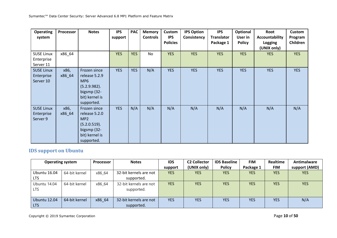| <b>Operating</b><br>system                   | Processor      | <b>Notes</b>                                                                                                    | <b>IPS</b><br>support | <b>PAC</b> | <b>Memory</b><br><b>Controls</b> | <b>Custom</b><br><b>IPS</b><br><b>Policies</b> | <b>IPS Option</b><br>Consistency | <b>IPS</b><br><b>Translator</b><br>Package 1 | Optional<br>User in<br><b>Policy</b> | Root<br>Accountability<br>Logging<br>(UNIX only) | <b>Custom</b><br>Program<br>Children |
|----------------------------------------------|----------------|-----------------------------------------------------------------------------------------------------------------|-----------------------|------------|----------------------------------|------------------------------------------------|----------------------------------|----------------------------------------------|--------------------------------------|--------------------------------------------------|--------------------------------------|
| <b>SUSE Linux</b><br>Enterprise<br>Server 11 | x86_64         |                                                                                                                 | <b>YES</b>            | <b>YES</b> | No                               | <b>YES</b>                                     | <b>YES</b>                       | <b>YES</b>                                   | <b>YES</b>                           | <b>YES</b>                                       | <b>YES</b>                           |
| <b>SUSE Linux</b><br>Enterprise<br>Server 10 | x86,<br>x86_64 | Frozen since<br>release 5.2.9<br>MP <sub>6</sub><br>(5.2.9.982).<br>bigsmp (32-<br>bit) kernel is<br>supported. | <b>YES</b>            | <b>YES</b> | N/A                              | <b>YES</b>                                     | <b>YES</b>                       | <b>YES</b>                                   | <b>YES</b>                           | <b>YES</b>                                       | <b>YES</b>                           |
| <b>SUSE Linux</b><br>Enterprise<br>Server 9  | x86,<br>x86_64 | Frozen since<br>release 5.2.0<br>MP <sub>2</sub><br>(5.2.0.519).<br>bigsmp (32-<br>bit) kernel is<br>supported. | <b>YES</b>            | N/A        | N/A                              | N/A                                            | N/A                              | N/A                                          | N/A                                  | N/A                                              | N/A                                  |

# **IDS support on Ubuntu**

| <b>Operating system</b> |               | <b>Processor</b> | <b>Notes</b>           | <b>IDS</b> | <b>C2 Collector</b> | <b>IDS Baseline</b> | <b>FIM</b> | Realtime   | Antimalware   |
|-------------------------|---------------|------------------|------------------------|------------|---------------------|---------------------|------------|------------|---------------|
|                         |               |                  |                        | support    | (UNIX only)         | <b>Policy</b>       | Package 1  | <b>FIM</b> | support (AMD) |
| <b>Ubuntu 16.04</b>     | 64-bit kernel | x86 64           | 32-bit kernels are not | <b>YES</b> | <b>YES</b>          | <b>YES</b>          | <b>YES</b> | <b>YES</b> | <b>YES</b>    |
| <b>LTS</b>              |               |                  | supported.             |            |                     |                     |            |            |               |
| Ubuntu 14.04            | 64-bit kernel | x86 64           | 32-bit kernels are not | <b>YES</b> | <b>YES</b>          | <b>YES</b>          | <b>YES</b> | <b>YES</b> | <b>YES</b>    |
| <b>LTS</b>              |               |                  | supported.             |            |                     |                     |            |            |               |
|                         |               |                  |                        |            |                     |                     |            |            |               |
| Ubuntu 12.04            | 64-bit kernel | x86 64           | 32-bit kernels are not | <b>YES</b> | <b>YES</b>          | <b>YES</b>          | <b>YES</b> | <b>YES</b> | N/A           |
| <b>LTS</b>              |               |                  | supported.             |            |                     |                     |            |            |               |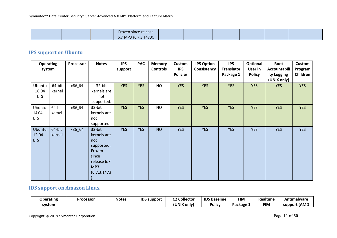| Frozen since release       |  |  |  |
|----------------------------|--|--|--|
| 7 MP3 (6.7.3.1473).<br>U.1 |  |  |  |

### **IPS support on Ubuntu**

| <b>Operating</b><br>system    |                  | Processor | <b>Notes</b>                                                                                                   | <b>IPS</b><br>support | <b>PAC</b> | <b>Memory</b><br><b>Controls</b> | Custom<br><b>IPS</b><br><b>Policies</b> | <b>IPS Option</b><br>Consistency | <b>IPS</b><br>Translator<br>Package 1 | Optional<br>User in<br><b>Policy</b> | Root<br>Accountabili<br>ty Logging<br>(UNIX only) | <b>Custom</b><br>Program<br>Children |
|-------------------------------|------------------|-----------|----------------------------------------------------------------------------------------------------------------|-----------------------|------------|----------------------------------|-----------------------------------------|----------------------------------|---------------------------------------|--------------------------------------|---------------------------------------------------|--------------------------------------|
| Ubuntu<br>16.04<br><b>LTS</b> | 64-bit<br>kernel | x86_64    | 32-bit<br>kernels are<br>not<br>supported.                                                                     | <b>YES</b>            | <b>YES</b> | <b>NO</b>                        | <b>YES</b>                              | <b>YES</b>                       | <b>YES</b>                            | <b>YES</b>                           | <b>YES</b>                                        | <b>YES</b>                           |
| Ubuntu<br>14.04<br><b>LTS</b> | 64-bit<br>kernel | x86_64    | 32-bit<br>kernels are<br>not<br>supported.                                                                     | <b>YES</b>            | <b>YES</b> | <b>NO</b>                        | <b>YES</b>                              | <b>YES</b>                       | <b>YES</b>                            | <b>YES</b>                           | <b>YES</b>                                        | <b>YES</b>                           |
| Ubuntu<br>12.04<br><b>LTS</b> | 64-bit<br>kernel | x86_64    | 32-bit<br>kernels are<br>not<br>supported.<br>Frozen<br>since<br>release 6.7<br>MP3<br>(6.7.3.1473)<br>$\cdot$ | <b>YES</b>            | <b>YES</b> | <b>NO</b>                        | <b>YES</b>                              | <b>YES</b>                       | <b>YES</b>                            | <b>YES</b>                           | <b>YES</b>                                        | <b>YES</b>                           |

# **IDS support on Amazon Linux**

| <b>Operating</b> | Processor | <b>Notes</b> | <b>IDS support</b> | <b>C2 Collector</b> | <b>IDS Baseline</b> | <b>FIM</b>             | Realtime   | <b>Antimalware</b> |
|------------------|-----------|--------------|--------------------|---------------------|---------------------|------------------------|------------|--------------------|
| system           |           |              |                    | (UNIX only)         | <b>Policy</b>       | Package $\overline{ }$ | <b>FIN</b> | (AMD<br>support    |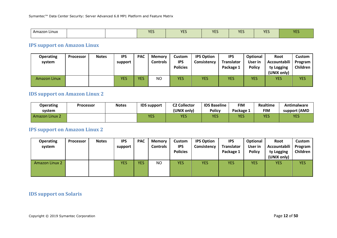| Amazon Linux |  | 10 <sup>2</sup><br>. | <b>YES</b> | <b>VEC</b><br>IE. | <b>VE</b><br>.<br>__ | <b>VEC</b><br>TE. | VFC<br>. |
|--------------|--|----------------------|------------|-------------------|----------------------|-------------------|----------|
|              |  |                      |            |                   |                      |                   |          |

### **IPS support on Amazon Linux**

| <b>Operating</b><br>system | <b>Processor</b> | <b>Notes</b> | <b>IPS</b><br>support | <b>PAC</b> | <b>Memory</b><br>Controls | Custom<br><b>IPS</b><br><b>Policies</b> | <b>IPS Option</b><br>Consistency | <b>IPS</b><br>Translator<br>Package 1 | Optional<br>User in<br><b>Policy</b> | Root<br>Accountabili<br>ty Logging<br>(UNIX only) | Custom<br>Program<br>Children |
|----------------------------|------------------|--------------|-----------------------|------------|---------------------------|-----------------------------------------|----------------------------------|---------------------------------------|--------------------------------------|---------------------------------------------------|-------------------------------|
| <b>Amazon Linux</b>        |                  |              | <b>YES</b>            | <b>YES</b> | <b>NO</b>                 | <b>YES</b>                              | YES                              | YES                                   | YES                                  | <b>YES</b>                                        | <b>YES</b>                    |

### **IDS support on Amazon Linux 2**

| <b>Operating</b>      | <b>Processor</b> | <b>Notes</b> | <b>IDS</b> support | <b>C2 Collector</b> | <b>IDS Baseline</b> | <b>FIM</b> | Realtime   | Antimalware  |
|-----------------------|------------------|--------------|--------------------|---------------------|---------------------|------------|------------|--------------|
| svstem                |                  |              |                    | (UNIX only)         | <b>Policy</b>       | Package 1  | <b>FIM</b> | support (AMD |
| <b>Amazon Linux 2</b> |                  |              | YES                | YES                 | <b>YES</b>          | <b>YES</b> | YES        | <b>YES</b>   |

### **IPS support on Amazon Linux 2**

| <b>Operating</b><br>system | <b>Processor</b> | <b>Notes</b> | <b>IPS</b><br>support | <b>PAC</b> | <b>Memory</b><br><b>Controls</b> | Custom<br><b>IPS</b><br><b>Policies</b> | <b>IPS Option</b><br>Consistency | <b>IPS</b><br><b>Translator</b><br>Package 1 | Optional<br>User in<br><b>Policy</b> | Root<br>Accountabili  <br>ty Logging<br>(UNIX only) | Custom<br>Program<br><b>Children</b> |
|----------------------------|------------------|--------------|-----------------------|------------|----------------------------------|-----------------------------------------|----------------------------------|----------------------------------------------|--------------------------------------|-----------------------------------------------------|--------------------------------------|
| <b>Amazon Linux 2</b>      |                  |              | <b>YES</b>            | <b>YES</b> | <b>NO</b>                        | <b>YES</b>                              | <b>YES</b>                       | <b>YES</b>                                   | <b>YES</b>                           | <b>YES</b>                                          | <b>YES</b>                           |

# **IDS support on Solaris**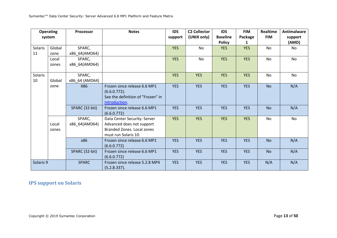| <b>Operating</b><br><b>Notes</b><br><b>Processor</b><br>system |        |                | <b>IDS</b>                                         | <b>C2 Collector</b> | <b>IDS</b>  | <b>FIM</b>      | Realtime   | <b>Antimalware</b> |           |
|----------------------------------------------------------------|--------|----------------|----------------------------------------------------|---------------------|-------------|-----------------|------------|--------------------|-----------|
|                                                                |        |                |                                                    | support             | (UNIX only) | <b>Baseline</b> | Package    | <b>FIM</b>         | support   |
|                                                                |        |                |                                                    |                     |             | <b>Policy</b>   | 1          |                    | (AMD)     |
| Solaris                                                        | Global | SPARC,         |                                                    | <b>YES</b>          | <b>No</b>   | <b>YES</b>      | <b>YES</b> | <b>No</b>          | No        |
| 11                                                             | zone   | x86_64(AMD64)  |                                                    |                     |             |                 |            |                    |           |
|                                                                | Local  | SPARC,         |                                                    | <b>YES</b>          | <b>No</b>   | <b>YES</b>      | <b>YES</b> | <b>No</b>          | No        |
|                                                                | zones  | x86_64(AMD64)  |                                                    |                     |             |                 |            |                    |           |
| Solaris                                                        |        | SPARC,         |                                                    | <b>YES</b>          | <b>YES</b>  | <b>YES</b>      | <b>YES</b> | <b>No</b>          | <b>No</b> |
| 10                                                             | Global | x86_64 (AMD64) |                                                    |                     |             |                 |            |                    |           |
|                                                                | zone   | X86            | Frozen since release 6.6 MP1                       | <b>YES</b>          | <b>YES</b>  | <b>YES</b>      | <b>YES</b> | <b>No</b>          | N/A       |
|                                                                |        |                | $(6.6.0.772)$ .                                    |                     |             |                 |            |                    |           |
|                                                                |        |                | See the definition of "Frozen" in<br>Introduction. |                     |             |                 |            |                    |           |
|                                                                |        | SPARC (32-bit) | Frozen since release 6.6 MP1                       | <b>YES</b>          | <b>YES</b>  | <b>YES</b>      | <b>YES</b> | <b>No</b>          | N/A       |
|                                                                |        |                | (6.6.0.772)                                        |                     |             |                 |            |                    |           |
|                                                                |        | SPARC,         | Data Center Security: Server                       | <b>YES</b>          | <b>YES</b>  | <b>YES</b>      | <b>YES</b> | <b>No</b>          | No        |
|                                                                | Local  | x86_64(AMD64)  | Advanced does not support                          |                     |             |                 |            |                    |           |
|                                                                | zones  |                | <b>Branded Zones. Local zones</b>                  |                     |             |                 |            |                    |           |
|                                                                |        |                | must run Solaris 10.                               |                     |             |                 |            |                    |           |
|                                                                |        | x86            | Frozen since release 6.6 MP1<br>(6.6.0.772)        | <b>YES</b>          | <b>YES</b>  | <b>YES</b>      | <b>YES</b> | <b>No</b>          | N/A       |
|                                                                |        | SPARC (32-bit) | Frozen since release 6.6 MP1                       | <b>YES</b>          | <b>YES</b>  | <b>YES</b>      | <b>YES</b> | <b>No</b>          | N/A       |
|                                                                |        |                | (6.6.0.772)                                        |                     |             |                 |            |                    |           |
| Solaris 9                                                      |        | <b>SPARC</b>   | Frozen since release 5.2.8 MP4                     | <b>YES</b>          | <b>YES</b>  | <b>YES</b>      | <b>YES</b> | N/A                | N/A       |
|                                                                |        |                | (5.2.8.337).                                       |                     |             |                 |            |                    |           |

# **IPS support on Solaris**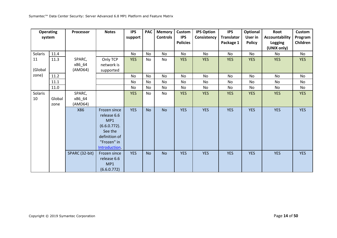| <b>Operating</b><br>system |        | Processor      | <b>Notes</b>                                                                                                     | <b>IPS</b><br>support | <b>PAC</b> | <b>Memory</b><br><b>Controls</b> | <b>Custom</b><br><b>IPS</b> | <b>IPS Option</b><br>Consistency | <b>IPS</b><br><b>Translator</b> | Optional<br>User in | Root<br><b>Accountability</b> | Custom<br>Program |
|----------------------------|--------|----------------|------------------------------------------------------------------------------------------------------------------|-----------------------|------------|----------------------------------|-----------------------------|----------------------------------|---------------------------------|---------------------|-------------------------------|-------------------|
|                            |        |                |                                                                                                                  |                       |            |                                  | <b>Policies</b>             |                                  | Package 1                       | <b>Policy</b>       | Logging<br>(UNIX only)        | Children          |
| Solaris                    | 11.4   |                |                                                                                                                  | <b>No</b>             | <b>No</b>  | <b>No</b>                        | No                          | No                               | No                              | <b>No</b>           | No.                           | No                |
| 11                         | 11.3   | SPARC,         | Only TCP                                                                                                         | <b>YES</b>            | No         | No                               | <b>YES</b>                  | <b>YES</b>                       | <b>YES</b>                      | <b>YES</b>          | <b>YES</b>                    | <b>YES</b>        |
|                            |        | x86_64         | network is                                                                                                       |                       |            |                                  |                             |                                  |                                 |                     |                               |                   |
| (Global                    |        | (AMD64)        | supported                                                                                                        |                       |            |                                  |                             |                                  |                                 |                     |                               |                   |
| zone)                      | 11.2   |                |                                                                                                                  | <b>No</b>             | <b>No</b>  | <b>No</b>                        | <b>No</b>                   | No                               | No                              | No                  | No                            | <b>No</b>         |
|                            | 11.1   |                |                                                                                                                  | No                    | <b>No</b>  | <b>No</b>                        | No                          | No                               | No                              | No                  | No                            | <b>No</b>         |
|                            | 11.0   |                |                                                                                                                  | No                    | <b>No</b>  | <b>No</b>                        | No                          | No                               | No                              | No                  | No                            | No                |
| Solaris                    |        | SPARC,         |                                                                                                                  | <b>YES</b>            | <b>No</b>  | No                               | <b>YES</b>                  | <b>YES</b>                       | <b>YES</b>                      | <b>YES</b>          | <b>YES</b>                    | <b>YES</b>        |
| 10                         | Global | x86_64         |                                                                                                                  |                       |            |                                  |                             |                                  |                                 |                     |                               |                   |
|                            | zone   | (AMD64)        |                                                                                                                  |                       |            |                                  |                             |                                  |                                 |                     |                               |                   |
|                            |        | X86            | Frozen since<br>release 6.6<br>MP1<br>$(6.6.0.772)$ .<br>See the<br>definition of<br>"Frozen" in<br>Introduction | <b>YES</b>            | <b>No</b>  | <b>No</b>                        | <b>YES</b>                  | <b>YES</b>                       | <b>YES</b>                      | <b>YES</b>          | <b>YES</b>                    | <b>YES</b>        |
|                            |        | SPARC (32-bit) | Frozen since<br>release 6.6<br>MP1<br>(6.6.0.772)                                                                | <b>YES</b>            | <b>No</b>  | <b>No</b>                        | <b>YES</b>                  | <b>YES</b>                       | <b>YES</b>                      | <b>YES</b>          | <b>YES</b>                    | <b>YES</b>        |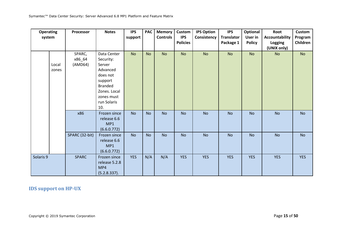| <b>Operating</b> |       | Processor      | <b>Notes</b>   | <b>IPS</b> | <b>PAC</b> | <b>Memory</b>   | Custom          | <b>IPS Option</b> | <b>IPS</b>        | Optional      | Root                  | Custom     |
|------------------|-------|----------------|----------------|------------|------------|-----------------|-----------------|-------------------|-------------------|---------------|-----------------------|------------|
| system           |       |                |                | support    |            | <b>Controls</b> | <b>IPS</b>      | Consistency       | <b>Translator</b> | User in       | <b>Accountability</b> | Program    |
|                  |       |                |                |            |            |                 | <b>Policies</b> |                   | Package 1         | <b>Policy</b> | Logging               | Children   |
|                  |       |                |                |            |            |                 |                 |                   |                   |               | (UNIX only)           |            |
|                  |       | SPARC,         | Data Center    | <b>No</b>  | <b>No</b>  | <b>No</b>       | <b>No</b>       | <b>No</b>         | <b>No</b>         | No            | <b>No</b>             | <b>No</b>  |
|                  |       | x86_64         | Security:      |            |            |                 |                 |                   |                   |               |                       |            |
|                  | Local | (AMD64)        | Server         |            |            |                 |                 |                   |                   |               |                       |            |
|                  | zones |                | Advanced       |            |            |                 |                 |                   |                   |               |                       |            |
|                  |       |                | does not       |            |            |                 |                 |                   |                   |               |                       |            |
|                  |       |                | support        |            |            |                 |                 |                   |                   |               |                       |            |
|                  |       |                | <b>Branded</b> |            |            |                 |                 |                   |                   |               |                       |            |
|                  |       |                | Zones. Local   |            |            |                 |                 |                   |                   |               |                       |            |
|                  |       |                | zones must     |            |            |                 |                 |                   |                   |               |                       |            |
|                  |       |                | run Solaris    |            |            |                 |                 |                   |                   |               |                       |            |
|                  |       |                | 10.            |            |            |                 |                 |                   |                   |               |                       |            |
|                  |       | x86            | Frozen since   | <b>No</b>  | <b>No</b>  | <b>No</b>       | <b>No</b>       | <b>No</b>         | <b>No</b>         | <b>No</b>     | <b>No</b>             | <b>No</b>  |
|                  |       |                | release 6.6    |            |            |                 |                 |                   |                   |               |                       |            |
|                  |       |                | MP1            |            |            |                 |                 |                   |                   |               |                       |            |
|                  |       |                | (6.6.0.772)    |            |            |                 |                 |                   |                   |               |                       |            |
|                  |       | SPARC (32-bit) | Frozen since   | <b>No</b>  | <b>No</b>  | <b>No</b>       | <b>No</b>       | <b>No</b>         | <b>No</b>         | <b>No</b>     | <b>No</b>             | No         |
|                  |       |                | release 6.6    |            |            |                 |                 |                   |                   |               |                       |            |
|                  |       |                | MP1            |            |            |                 |                 |                   |                   |               |                       |            |
|                  |       |                | (6.6.0.772)    |            |            |                 |                 |                   |                   |               |                       |            |
| Solaris 9        |       | <b>SPARC</b>   | Frozen since   | <b>YES</b> | N/A        | N/A             | <b>YES</b>      | <b>YES</b>        | <b>YES</b>        | <b>YES</b>    | <b>YES</b>            | <b>YES</b> |
|                  |       |                | release 5.2.8  |            |            |                 |                 |                   |                   |               |                       |            |
|                  |       |                | MP4            |            |            |                 |                 |                   |                   |               |                       |            |
|                  |       |                | (5.2.8.337).   |            |            |                 |                 |                   |                   |               |                       |            |

**IDS support on HP-UX**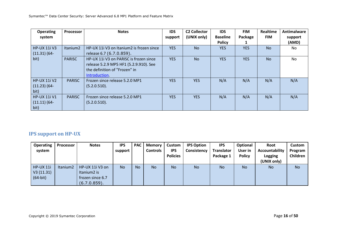| <b>Operating</b>                             | <b>Processor</b>     | <b>Notes</b>                                                                                                                       | <b>IDS</b> | <b>C2 Collector</b><br>(UNIX only) | <b>IDS</b><br><b>Baseline</b> | <b>FIM</b><br>Package | Realtime<br><b>FIM</b> | Antimalware      |
|----------------------------------------------|----------------------|------------------------------------------------------------------------------------------------------------------------------------|------------|------------------------------------|-------------------------------|-----------------------|------------------------|------------------|
| system                                       |                      |                                                                                                                                    | support    |                                    | <b>Policy</b>                 |                       |                        | support<br>(AMD) |
| <b>HP-UX 11i V3</b><br>$(11.31)$ (64-        | Itanium <sub>2</sub> | HP-UX 111 V3 on Itanium2 is frozen since<br>release 6.7 (6.7.0.859).                                                               | <b>YES</b> | <b>No</b>                          | <b>YES</b>                    | <b>YES</b>            | <b>No</b>              | No.              |
| bit)                                         | <b>PARISC</b>        | HP-UX 11i V3 on PARISC is frozen since<br>release 5.2.9 MP5 HF1 (5.2.9.910). See<br>the definition of "Frozen" in<br>Introduction. | <b>YES</b> | <b>No</b>                          | <b>YES</b>                    | <b>YES</b>            | N <sub>o</sub>         | <b>No</b>        |
| <b>HP-UX 11i V2</b><br>$(11.23)(64-$<br>bit) | <b>PARISC</b>        | Frozen since release 5.2.0 MP1<br>(5.2.0.510).                                                                                     | <b>YES</b> | <b>YES</b>                         | N/A                           | N/A                   | N/A                    | N/A              |
| <b>HP-UX 11i V1</b><br>$(11.11)(64-$<br>bit) | <b>PARISC</b>        | Frozen since release 5.2.0 MP1<br>(5.2.0.510).                                                                                     | <b>YES</b> | <b>YES</b>                         | N/A                           | N/A                   | N/A                    | N/A              |

# **IPS support on HP-UX**

| <b>Operating</b>                            | <b>Processor</b>     | <b>Notes</b>                                                                   | <b>IPS</b> | <b>PAC</b> | <b>Memory</b>   | Custom                        | <b>IPS Option</b> | <b>IPS</b>                     | Optional                 | <b>Root</b>                                     | Custom              |
|---------------------------------------------|----------------------|--------------------------------------------------------------------------------|------------|------------|-----------------|-------------------------------|-------------------|--------------------------------|--------------------------|-------------------------------------------------|---------------------|
| system                                      |                      |                                                                                | support    |            | <b>Controls</b> | <b>IPS</b><br><b>Policies</b> | Consistency       | <b>Translator</b><br>Package 1 | User in<br><b>Policy</b> | Accountability<br><b>Logging</b><br>(UNIX only) | Program<br>Children |
| <b>HP-UX 11i</b><br>V3(11.31)<br>$(64-bit)$ | Itanium <sub>2</sub> | HP-UX 11i V3 on<br>Itanium <sub>2</sub> is<br>frozen since 6.7<br>(6.7.0.859). | <b>No</b>  | <b>No</b>  | <b>No</b>       | <b>No</b>                     | <b>No</b>         | <b>No</b>                      | <b>No</b>                | <b>No</b>                                       | <b>No</b>           |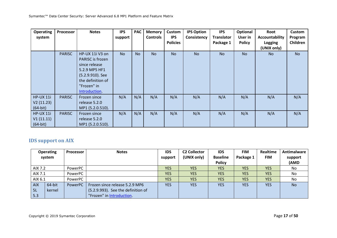| <b>Operating</b><br>system | Processor     | <b>Notes</b>            | <b>IPS</b><br>support | <b>PAC</b> | <b>Memory</b><br>Controls | Custom<br><b>IPS</b> | <b>IPS Option</b><br>Consistency | <b>IPS</b><br><b>Translator</b> | Optional<br>User in | Root<br><b>Accountability</b> | Custom<br>Program |
|----------------------------|---------------|-------------------------|-----------------------|------------|---------------------------|----------------------|----------------------------------|---------------------------------|---------------------|-------------------------------|-------------------|
|                            |               |                         |                       |            |                           | <b>Policies</b>      |                                  | Package 1                       | <b>Policy</b>       | Logging                       | Children          |
|                            |               |                         |                       |            |                           |                      |                                  |                                 |                     | (UNIX only)                   |                   |
|                            | <b>PARISC</b> | HP-UX 11i V3 on         | <b>No</b>             | <b>No</b>  | <b>No</b>                 | <b>No</b>            | <b>No</b>                        | <b>No</b>                       | <b>No</b>           | N <sub>o</sub>                | <b>No</b>         |
|                            |               | <b>PARISC</b> is frozen |                       |            |                           |                      |                                  |                                 |                     |                               |                   |
|                            |               | since release           |                       |            |                           |                      |                                  |                                 |                     |                               |                   |
|                            |               | 5.2.9 MP5 HF1           |                       |            |                           |                      |                                  |                                 |                     |                               |                   |
|                            |               | (5.2.9.910). See        |                       |            |                           |                      |                                  |                                 |                     |                               |                   |
|                            |               | the definition of       |                       |            |                           |                      |                                  |                                 |                     |                               |                   |
|                            |               | "Frozen" in             |                       |            |                           |                      |                                  |                                 |                     |                               |                   |
|                            |               | Introduction.           |                       |            |                           |                      |                                  |                                 |                     |                               |                   |
| <b>HP-UX 11i</b>           | <b>PARISC</b> | Frozen since            | N/A                   | N/A        | N/A                       | N/A                  | N/A                              | N/A                             | N/A                 | N/A                           | N/A               |
| V2(11.23)                  |               | release 5.2.0           |                       |            |                           |                      |                                  |                                 |                     |                               |                   |
| $(64-bit)$                 |               | MP1 (5.2.0.510).        |                       |            |                           |                      |                                  |                                 |                     |                               |                   |
| <b>HP-UX 11i</b>           | <b>PARISC</b> | Frozen since            | N/A                   | N/A        | N/A                       | N/A                  | N/A                              | N/A                             | N/A                 | N/A                           | N/A               |
| V1(11.11)                  |               | release 5.2.0           |                       |            |                           |                      |                                  |                                 |                     |                               |                   |
| $(64-bit)$                 |               | MP1 (5.2.0.510).        |                       |            |                           |                      |                                  |                                 |                     |                               |                   |

# **IDS support on AIX**

|            | <b>Operating</b> | Processor | <b>Notes</b>                       | <b>IDS</b> | <b>C2 Collector</b> | <b>IDS</b>      | <b>FIM</b> | Realtime   | Antimalware |
|------------|------------------|-----------|------------------------------------|------------|---------------------|-----------------|------------|------------|-------------|
|            | system           |           |                                    | support    | (UNIX only)         | <b>Baseline</b> | Package 1  | <b>FIM</b> | support     |
|            |                  |           |                                    |            |                     | <b>Policy</b>   |            |            | (AMD        |
| AIX 7.2    |                  | PowerPC   |                                    | <b>YES</b> | <b>YES</b>          | <b>YES</b>      | <b>YES</b> | <b>YES</b> | No          |
| AIX 7.1    |                  | PowerPC   |                                    | <b>YES</b> | <b>YES</b>          | <b>YES</b>      | <b>YES</b> | <b>YES</b> | No          |
| AIX 6.1    |                  | PowerPC   |                                    | <b>YES</b> | <b>YES</b>          | <b>YES</b>      | <b>YES</b> | <b>YES</b> | No          |
| <b>AIX</b> | 64-bit           | PowerPC   | Frozen since release 5.2.9 MP6     | <b>YES</b> | <b>YES</b>          | <b>YES</b>      | <b>YES</b> | <b>YES</b> | <b>No</b>   |
| - 5L       | kernel           |           | (5.2.9.993). See the definition of |            |                     |                 |            |            |             |
| 5.3        |                  |           | "Frozen" in Introduction.          |            |                     |                 |            |            |             |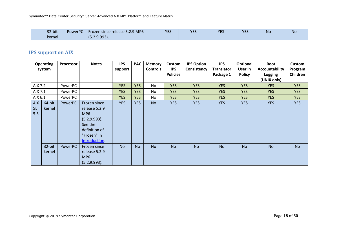| 32-bit | PowerPC | Frozen since release 5.2.9 MP6 | <b>VEC</b><br>. | <b>YES</b> | <b>YES</b> | <b>YES</b> | N 17<br><b>NO</b> | <b>No</b> |
|--------|---------|--------------------------------|-----------------|------------|------------|------------|-------------------|-----------|
| kernel |         | (5.2.9.993).                   |                 |            |            |            |                   |           |

### **IPS support on AIX**

|                         | <b>Operating</b><br>system | Processor | <b>Notes</b>                                                                                                                 | <b>IPS</b><br>support | <b>PAC</b> | <b>Memory</b><br><b>Controls</b> | <b>Custom</b><br><b>IPS</b><br><b>Policies</b> | <b>IPS Option</b><br>Consistency | <b>IPS</b><br><b>Translator</b><br>Package 1 | Optional<br>User in<br><b>Policy</b> | Root<br>Accountability | <b>Custom</b><br>Program<br>Children |
|-------------------------|----------------------------|-----------|------------------------------------------------------------------------------------------------------------------------------|-----------------------|------------|----------------------------------|------------------------------------------------|----------------------------------|----------------------------------------------|--------------------------------------|------------------------|--------------------------------------|
|                         |                            |           |                                                                                                                              |                       |            |                                  |                                                |                                  |                                              |                                      | Logging<br>(UNIX only) |                                      |
| AIX 7.2                 |                            | PowerPC   |                                                                                                                              | <b>YES</b>            | <b>YES</b> | No                               | <b>YES</b>                                     | <b>YES</b>                       | <b>YES</b>                                   | <b>YES</b>                           | <b>YES</b>             | <b>YES</b>                           |
| AIX 7.1                 |                            | PowerPC   |                                                                                                                              | <b>YES</b>            | <b>YES</b> | No                               | <b>YES</b>                                     | <b>YES</b>                       | <b>YES</b>                                   | <b>YES</b>                           | <b>YES</b>             | <b>YES</b>                           |
| AIX 6.1                 |                            | PowerPC   |                                                                                                                              | <b>YES</b>            | <b>YES</b> | No                               | <b>YES</b>                                     | <b>YES</b>                       | <b>YES</b>                                   | <b>YES</b>                           | <b>YES</b>             | <b>YES</b>                           |
| <b>AIX</b><br>5L<br>5.3 | 64-bit<br>kernel           | PowerPC   | Frozen since<br>release 5.2.9<br>MP <sub>6</sub><br>(5.2.9.993).<br>See the<br>definition of<br>"Frozen" in<br>Introduction. | <b>YES</b>            | <b>YES</b> | <b>No</b>                        | <b>YES</b>                                     | <b>YES</b>                       | <b>YES</b>                                   | <b>YES</b>                           | <b>YES</b>             | <b>YES</b>                           |
|                         | 32-bit<br>kernel           | PowerPC   | Frozen since<br>release 5.2.9<br>MP <sub>6</sub><br>(5.2.9.993).                                                             | <b>No</b>             | <b>No</b>  | <b>No</b>                        | <b>No</b>                                      | <b>No</b>                        | <b>No</b>                                    | <b>No</b>                            | <b>No</b>              | <b>No</b>                            |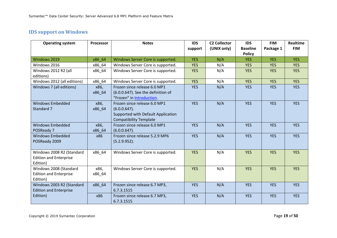# **IDS support on Windows**

| <b>Operating system</b>                   | Processor | <b>Notes</b>                       | <b>IDS</b> | <b>C2 Collector</b> | <b>IDS</b>                       | <b>FIM</b> | <b>Realtime</b> |
|-------------------------------------------|-----------|------------------------------------|------------|---------------------|----------------------------------|------------|-----------------|
|                                           |           |                                    | support    | (UNIX only)         | <b>Baseline</b><br><b>Policy</b> | Package 1  | <b>FIM</b>      |
| Windows 2019                              | x86 64    | Windows Server Core is supported.  | <b>YES</b> | N/A                 | <b>YES</b>                       | <b>YES</b> | <b>YES</b>      |
| Windows 2016                              | x86 64    | Windows Server Core is supported.  | <b>YES</b> | N/A                 | <b>YES</b>                       | <b>YES</b> | <b>YES</b>      |
| Windows 2012 R2 (all                      | x86_64    | Windows Server Core is supported.  | <b>YES</b> | N/A                 | <b>YES</b>                       | <b>YES</b> | <b>YES</b>      |
| editions)                                 |           |                                    |            |                     |                                  |            |                 |
| Windows 2012 (all editions)               | x86 64    | Windows Server Core is supported.  | <b>YES</b> | N/A                 | <b>YES</b>                       | <b>YES</b> | <b>YES</b>      |
| Windows 7 (all editions)                  | x86,      | Frozen since release 6.0 MP1       | <b>YES</b> | N/A                 | <b>YES</b>                       | <b>YES</b> | <b>YES</b>      |
|                                           | x86 64    | (6.0.0.647). See the definition of |            |                     |                                  |            |                 |
|                                           |           | "Frozen" in Introduction.          |            |                     |                                  |            |                 |
| <b>Windows Embedded</b>                   | x86,      | Frozen since release 6.0 MP1       | <b>YES</b> | N/A                 | <b>YES</b>                       | <b>YES</b> | <b>YES</b>      |
| Standard 7                                | x86 64    | $(6.0.0.647)$ .                    |            |                     |                                  |            |                 |
|                                           |           | Supported with Default Application |            |                     |                                  |            |                 |
|                                           |           | <b>Compatibility Template</b>      |            |                     |                                  |            |                 |
| <b>Windows Embedded</b>                   | x86,      | Frozen since release 6.0 MP1       | <b>YES</b> | N/A                 | <b>YES</b>                       | <b>YES</b> | <b>YES</b>      |
| POSReady 7                                | x86 64    | $(6.0.0.647)$ .                    |            |                     |                                  |            |                 |
| <b>Windows Embedded</b>                   | x86       | Frozen since release 5.2.9 MP6     | <b>YES</b> | N/A                 | <b>YES</b>                       | <b>YES</b> | <b>YES</b>      |
| POSReady 2009                             |           | (5.2.9.952).                       |            |                     |                                  |            |                 |
|                                           |           |                                    |            |                     |                                  |            |                 |
| Windows 2008 R2 (Standard                 | x86_64    | Windows Server Core is supported.  | <b>YES</b> | N/A                 | <b>YES</b>                       | <b>YES</b> | <b>YES</b>      |
| <b>Edition and Enterprise</b><br>Edition) |           |                                    |            |                     |                                  |            |                 |
| Windows 2008 (Standard                    | x86,      | Windows Server Core is supported.  | <b>YES</b> | N/A                 | <b>YES</b>                       | <b>YES</b> | <b>YES</b>      |
| <b>Edition and Enterprise</b>             | x86_64    |                                    |            |                     |                                  |            |                 |
| Edition)                                  |           |                                    |            |                     |                                  |            |                 |
| Windows 2003 R2 (Standard                 | x86_64    | Frozen since release 6.7 MP3,      | <b>YES</b> | N/A                 | <b>YES</b>                       | <b>YES</b> | <b>YES</b>      |
| <b>Edition and Enterprise</b>             |           | 6.7.3.1515                         |            |                     |                                  |            |                 |
| Edition)                                  | x86       | Frozen since release 6.7 MP3,      | <b>YES</b> | N/A                 | <b>YES</b>                       | <b>YES</b> | <b>YES</b>      |
|                                           |           | 6.7.3.1515                         |            |                     |                                  |            |                 |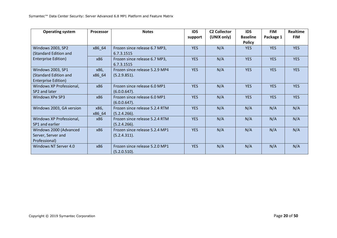| <b>Operating system</b>    | Processor | <b>Notes</b>                   | <b>IDS</b> | <b>C2 Collector</b> | <b>IDS</b>      | <b>FIM</b> | <b>Realtime</b> |
|----------------------------|-----------|--------------------------------|------------|---------------------|-----------------|------------|-----------------|
|                            |           |                                | support    | (UNIX only)         | <b>Baseline</b> | Package 1  | <b>FIM</b>      |
|                            |           |                                |            |                     | <b>Policy</b>   |            |                 |
| <b>Windows 2003, SP2</b>   | x86 64    | Frozen since release 6.7 MP3,  | <b>YES</b> | N/A                 | <b>YES</b>      | <b>YES</b> | <b>YES</b>      |
| (Standard Edition and      |           | 6.7.3.1515                     |            |                     |                 |            |                 |
| <b>Enterprise Edition)</b> | x86       | Frozen since release 6.7 MP3,  | <b>YES</b> | N/A                 | <b>YES</b>      | <b>YES</b> | <b>YES</b>      |
|                            |           | 6.7.3.1515                     |            |                     |                 |            |                 |
| Windows 2003, SP1          | x86,      | Frozen since release 5.2.9 MP4 | <b>YES</b> | N/A                 | <b>YES</b>      | <b>YES</b> | <b>YES</b>      |
| (Standard Edition and      | x86_64    | (5.2.9.851).                   |            |                     |                 |            |                 |
| <b>Enterprise Edition)</b> |           |                                |            |                     |                 |            |                 |
| Windows XP Professional,   | x86       | Frozen since release 6.0 MP1   | <b>YES</b> | N/A                 | <b>YES</b>      | <b>YES</b> | <b>YES</b>      |
| SP2 and later              |           | $(6.0.0.647)$ .                |            |                     |                 |            |                 |
| Windows XPe SP3            | x86       | Frozen since release 6.0 MP1   | <b>YES</b> | N/A                 | <b>YES</b>      | <b>YES</b> | <b>YES</b>      |
|                            |           | $(6.0.0.647)$ .                |            |                     |                 |            |                 |
| Windows 2003, GA version   | x86,      | Frozen since release 5.2.4 RTM | <b>YES</b> | N/A                 | N/A             | N/A        | N/A             |
|                            | x86 64    | (5.2.4.266).                   |            |                     |                 |            |                 |
| Windows XP Professional,   | x86       | Frozen since release 5.2.4 RTM | <b>YES</b> | N/A                 | N/A             | N/A        | N/A             |
| SP1 and earlier            |           | (5.2.4.266).                   |            |                     |                 |            |                 |
| Windows 2000 (Advanced     | x86       | Frozen since release 5.2.4 MP1 | <b>YES</b> | N/A                 | N/A             | N/A        | N/A             |
| Server, Server and         |           | (5.2.4.311).                   |            |                     |                 |            |                 |
| Professional)              |           |                                |            |                     |                 |            |                 |
| Windows NT Server 4.0      | x86       | Frozen since release 5.2.0 MP1 | <b>YES</b> | N/A                 | N/A             | N/A        | N/A             |
|                            |           | (5.2.0.510).                   |            |                     |                 |            |                 |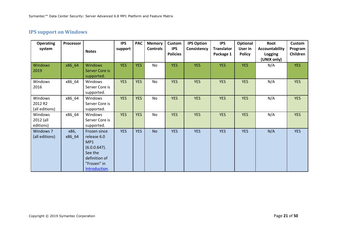# **IPS support on Windows**

| <b>Operating</b><br>system           | Processor      | <b>Notes</b>                                                                                                            | <b>IPS</b><br>support | <b>PAC</b> | <b>Memory</b><br><b>Controls</b> | Custom<br><b>IPS</b><br><b>Policies</b> | <b>IPS Option</b><br>Consistency | <b>IPS</b><br><b>Translator</b><br>Package 1 | Optional<br>User in<br><b>Policy</b> | Root<br><b>Accountability</b><br>Logging | <b>Custom</b><br>Program<br>Children |
|--------------------------------------|----------------|-------------------------------------------------------------------------------------------------------------------------|-----------------------|------------|----------------------------------|-----------------------------------------|----------------------------------|----------------------------------------------|--------------------------------------|------------------------------------------|--------------------------------------|
| <b>Windows</b><br>2019               | x86_64         | <b>Windows</b><br>Server Core is<br>supported.                                                                          | <b>YES</b>            | <b>YES</b> | No                               | <b>YES</b>                              | <b>YES</b>                       | <b>YES</b>                                   | <b>YES</b>                           | (UNIX only)<br>N/A                       | <b>YES</b>                           |
| Windows<br>2016                      | x86_64         | Windows<br>Server Core is<br>supported.                                                                                 | <b>YES</b>            | <b>YES</b> | No                               | <b>YES</b>                              | <b>YES</b>                       | <b>YES</b>                                   | <b>YES</b>                           | N/A                                      | <b>YES</b>                           |
| Windows<br>2012 R2<br>(all editions) | x86_64         | Windows<br>Server Core is<br>supported.                                                                                 | <b>YES</b>            | <b>YES</b> | No                               | <b>YES</b>                              | <b>YES</b>                       | <b>YES</b>                                   | <b>YES</b>                           | N/A                                      | <b>YES</b>                           |
| Windows<br>2012 (all<br>editions)    | x86_64         | Windows<br>Server Core is<br>supported.                                                                                 | <b>YES</b>            | <b>YES</b> | No                               | <b>YES</b>                              | <b>YES</b>                       | <b>YES</b>                                   | <b>YES</b>                           | N/A                                      | <b>YES</b>                           |
| Windows 7<br>(all editions)          | x86,<br>x86_64 | Frozen since<br>release 6.0<br>MP1<br>$(6.0.0.647)$ .<br>See the<br>definition of<br>"Frozen" in<br><b>Introduction</b> | <b>YES</b>            | <b>YES</b> | <b>No</b>                        | <b>YES</b>                              | <b>YES</b>                       | <b>YES</b>                                   | <b>YES</b>                           | N/A                                      | <b>YES</b>                           |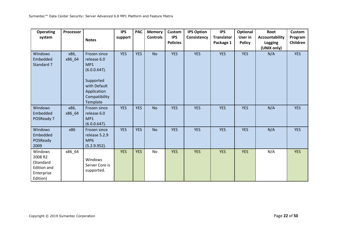| <b>Operating</b><br>system                                                      | <b>Processor</b> | <b>Notes</b>                                                                                                                   | <b>IPS</b><br>support | <b>PAC</b> | <b>Memory</b><br><b>Controls</b> | <b>Custom</b><br><b>IPS</b><br><b>Policies</b> | <b>IPS Option</b><br>Consistency | <b>IPS</b><br><b>Translator</b><br>Package 1 | Optional<br>User in<br><b>Policy</b> | Root<br>Accountability<br>Logging<br>(UNIX only) | <b>Custom</b><br>Program<br>Children |
|---------------------------------------------------------------------------------|------------------|--------------------------------------------------------------------------------------------------------------------------------|-----------------------|------------|----------------------------------|------------------------------------------------|----------------------------------|----------------------------------------------|--------------------------------------|--------------------------------------------------|--------------------------------------|
| Windows<br>Embedded<br>Standard 7                                               | x86,<br>x86_64   | Frozen since<br>release 6.0<br>MP1<br>$(6.0.0.647)$ .<br>Supported<br>with Default<br>Application<br>Compatibility<br>Template | <b>YES</b>            | <b>YES</b> | <b>No</b>                        | <b>YES</b>                                     | <b>YES</b>                       | <b>YES</b>                                   | <b>YES</b>                           | N/A                                              | <b>YES</b>                           |
| Windows<br>Embedded<br>POSReady 7                                               | x86,<br>x86_64   | Frozen since<br>release 6.0<br>MP <sub>1</sub><br>$(6.0.0.647)$ .                                                              | <b>YES</b>            | <b>YES</b> | <b>No</b>                        | <b>YES</b>                                     | <b>YES</b>                       | <b>YES</b>                                   | <b>YES</b>                           | N/A                                              | <b>YES</b>                           |
| Windows<br>Embedded<br>POSReady<br>2009                                         | x86              | Frozen since<br>release 5.2.9<br>MP <sub>6</sub><br>(5.2.9.952).                                                               | <b>YES</b>            | <b>YES</b> | <b>No</b>                        | <b>YES</b>                                     | <b>YES</b>                       | <b>YES</b>                                   | <b>YES</b>                           | N/A                                              | <b>YES</b>                           |
| Windows<br>2008 R2<br>(Standard<br><b>Edition and</b><br>Enterprise<br>Edition) | x86_64           | Windows<br>Server Core is<br>supported.                                                                                        | <b>YES</b>            | <b>YES</b> | No                               | <b>YES</b>                                     | <b>YES</b>                       | <b>YES</b>                                   | <b>YES</b>                           | N/A                                              | <b>YES</b>                           |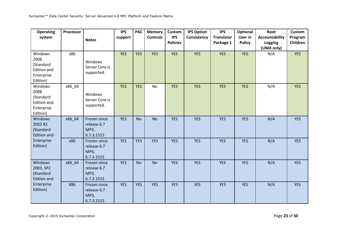| <b>Operating</b><br>system                                                   | <b>Processor</b> | <b>Notes</b>                                      | <b>IPS</b><br>support | <b>PAC</b> | <b>Memory</b><br><b>Controls</b> | Custom<br><b>IPS</b><br><b>Policies</b> | <b>IPS Option</b><br>Consistency | <b>IPS</b><br><b>Translator</b><br>Package 1 | Optional<br>User in<br><b>Policy</b> | Root<br>Accountability<br>Logging<br>(UNIX only) | <b>Custom</b><br>Program<br>Children |
|------------------------------------------------------------------------------|------------------|---------------------------------------------------|-----------------------|------------|----------------------------------|-----------------------------------------|----------------------------------|----------------------------------------------|--------------------------------------|--------------------------------------------------|--------------------------------------|
| Windows<br>2008<br>(Standard<br><b>Edition and</b><br>Enterprise<br>Edition) | x86              | Windows<br>Server Core is<br>supported.           | <b>YES</b>            | <b>YES</b> | <b>YES</b>                       | <b>YES</b>                              | <b>YES</b>                       | <b>YES</b>                                   | <b>YES</b>                           | N/A                                              | <b>YES</b>                           |
| Windows<br>2008<br>(Standard<br><b>Edition and</b><br>Enterprise<br>Edition) | x86_64           | Windows<br>Server Core is<br>supported.           | <b>YES</b>            | <b>YES</b> | <b>No</b>                        | <b>YES</b>                              | <b>YES</b>                       | <b>YES</b>                                   | <b>YES</b>                           | N/A                                              | <b>YES</b>                           |
| Windows<br>2003 R2<br>(Standard<br><b>Edition and</b>                        | x86_64           | Frozen since<br>release 6.7<br>MP3,<br>6.7.3.1515 | <b>YES</b>            | <b>No</b>  | <b>No</b>                        | <b>YES</b>                              | <b>YES</b>                       | <b>YES</b>                                   | <b>YES</b>                           | N/A                                              | <b>YES</b>                           |
| Enterprise<br>Edition)                                                       | x86              | Frozen since<br>release 6.7<br>MP3,<br>6.7.3.1515 | <b>YES</b>            | <b>YES</b> | <b>YES</b>                       | <b>YES</b>                              | <b>YES</b>                       | <b>YES</b>                                   | <b>YES</b>                           | N/A                                              | <b>YES</b>                           |
| Windows<br>2003, SP2<br>(Standard<br><b>Edition and</b>                      | x86_64           | Frozen since<br>release 6.7<br>MP3,<br>6.7.3.1515 | <b>YES</b>            | <b>No</b>  | <b>No</b>                        | <b>YES</b>                              | <b>YES</b>                       | <b>YES</b>                                   | <b>YES</b>                           | N/A                                              | <b>YES</b>                           |
| Enterprise<br>Edition)                                                       | X86              | Frozen since<br>release 6.7<br>MP3,<br>6.7.3.1515 | <b>YES</b>            | <b>YES</b> | <b>YES</b>                       | <b>YES</b>                              | <b>YES</b>                       | <b>YES</b>                                   | <b>YES</b>                           | N/A                                              | <b>YES</b>                           |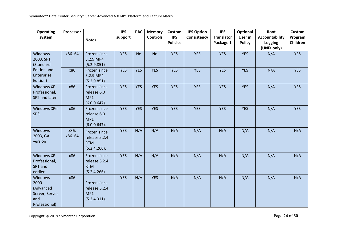| <b>Operating</b><br>system                                             | Processor      |                                                             | <b>IPS</b><br>support | <b>PAC</b> | <b>Memory</b><br><b>Controls</b> | Custom<br><b>IPS</b> | <b>IPS Option</b><br>Consistency | <b>IPS</b><br><b>Translator</b> | <b>Optional</b><br>User in | Root<br>Accountability | <b>Custom</b><br>Program |
|------------------------------------------------------------------------|----------------|-------------------------------------------------------------|-----------------------|------------|----------------------------------|----------------------|----------------------------------|---------------------------------|----------------------------|------------------------|--------------------------|
|                                                                        |                | <b>Notes</b>                                                |                       |            |                                  | <b>Policies</b>      |                                  | Package 1                       | <b>Policy</b>              | Logging<br>(UNIX only) | Children                 |
| <b>Windows</b><br>2003, SP1<br>(Standard                               | x86_64         | Frozen since<br>5.2.9 MP4<br>(5.2.9.851)                    | <b>YES</b>            | <b>No</b>  | <b>No</b>                        | <b>YES</b>           | <b>YES</b>                       | <b>YES</b>                      | <b>YES</b>                 | N/A                    | <b>YES</b>               |
| <b>Edition and</b><br>Enterprise<br>Edition)                           | x86            | Frozen since<br>5.2.9 MP4<br>(5.2.9.851)                    | <b>YES</b>            | <b>YES</b> | <b>YES</b>                       | <b>YES</b>           | <b>YES</b>                       | <b>YES</b>                      | <b>YES</b>                 | N/A                    | <b>YES</b>               |
| <b>Windows XP</b><br>Professional,<br>SP2 and later                    | x86            | Frozen since<br>release 6.0<br>MP1<br>(6.0.0.647).          | <b>YES</b>            | <b>YES</b> | <b>YES</b>                       | <b>YES</b>           | <b>YES</b>                       | <b>YES</b>                      | <b>YES</b>                 | N/A                    | <b>YES</b>               |
| <b>Windows XPe</b><br>SP <sub>3</sub>                                  | x86            | Frozen since<br>release 6.0<br>MP1<br>$(6.0.0.647)$ .       | <b>YES</b>            | <b>YES</b> | <b>YES</b>                       | <b>YES</b>           | <b>YES</b>                       | <b>YES</b>                      | <b>YES</b>                 | N/A                    | <b>YES</b>               |
| <b>Windows</b><br>2003, GA<br>version                                  | x86,<br>x86_64 | Frozen since<br>release 5.2.4<br><b>RTM</b><br>(5.2.4.266). | <b>YES</b>            | N/A        | N/A                              | N/A                  | N/A                              | N/A                             | N/A                        | N/A                    | N/A                      |
| <b>Windows XP</b><br>Professional,<br>SP1 and<br>earlier               | x86            | Frozen since<br>release 5.2.4<br><b>RTM</b><br>(5.2.4.266). | <b>YES</b>            | N/A        | N/A                              | N/A                  | N/A                              | N/A                             | N/A                        | N/A                    | N/A                      |
| Windows<br>2000<br>(Advanced<br>Server, Server<br>and<br>Professional) | x86            | Frozen since<br>release 5.2.4<br>MP1<br>(5.2.4.311).        | <b>YES</b>            | N/A        | <b>YES</b>                       | N/A                  | N/A                              | N/A                             | N/A                        | N/A                    | N/A                      |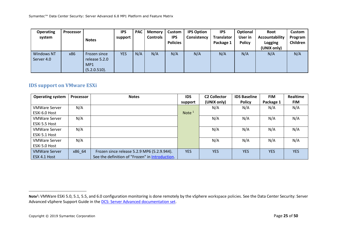| <b>Operating</b><br>system      | Processor | <b>Notes</b>                                                     | <b>IPS</b><br>support | <b>PAC</b> | <b>Memory</b><br><b>Controls</b> | Custom<br><b>IPS</b><br><b>Policies</b> | <b>IPS Option</b><br>Consistency | <b>IPS</b><br><b>Translator</b><br>Package 1 | Optional<br>User in<br><b>Policy</b> | Root<br>Accountability<br><b>Logging</b><br>(UNIX only) | Custom<br>Program<br>Children |
|---------------------------------|-----------|------------------------------------------------------------------|-----------------------|------------|----------------------------------|-----------------------------------------|----------------------------------|----------------------------------------------|--------------------------------------|---------------------------------------------------------|-------------------------------|
| <b>Windows NT</b><br>Server 4.0 | x86       | Frozen since<br>release 5.2.0<br>MP <sub>1</sub><br>(5.2.0.510). | <b>YES</b>            | N/A        | N/A                              | N/A                                     | N/A                              | N/A                                          | N/A                                  | N/A                                                     | N/A                           |

### **IDS support on VMware ESXi**

| <b>Operating system</b> | <b>Processor</b> | <b>Notes</b>                                    | <b>IDS</b> | <b>C2 Collector</b> | <b>IDS Baseline</b> | <b>FIM</b> | <b>Realtime</b> |
|-------------------------|------------------|-------------------------------------------------|------------|---------------------|---------------------|------------|-----------------|
|                         |                  |                                                 | support    | (UNIX only)         | <b>Policy</b>       | Package 1  | <b>FIM</b>      |
| <b>VMWare Server</b>    | N/A              |                                                 |            | N/A                 | N/A                 | N/A        | N/A             |
| ESXi 6.0 Host           |                  |                                                 | Note $1$   |                     |                     |            |                 |
| <b>VMWare Server</b>    | N/A              |                                                 |            | N/A                 | N/A                 | N/A        | N/A             |
| ESXi 5.5 Host           |                  |                                                 |            |                     |                     |            |                 |
| <b>VMWare Server</b>    | N/A              |                                                 |            | N/A                 | N/A                 | N/A        | N/A             |
| ESXi 5.1 Host           |                  |                                                 |            |                     |                     |            |                 |
| <b>VMWare Server</b>    | N/A              |                                                 |            | N/A                 | N/A                 | N/A        | N/A             |
| ESXi 5.0 Host           |                  |                                                 |            |                     |                     |            |                 |
| <b>VMWare Server</b>    | x86 64           | Frozen since release 5.2.9 MP6 (5.2.9.944).     | <b>YES</b> | <b>YES</b>          | <b>YES</b>          | <b>YES</b> | <b>YES</b>      |
| ESX 4.1 Host            |                  | See the definition of "Frozen" in Introduction. |            |                     |                     |            |                 |

 $\overline{\phantom{a}}$ 

**Note<sup>1</sup> :** VMWare ESXi 5.0, 5.1, 5.5, and 6.0 configuration monitoring is done remotely by the vSphere workspace policies. See the Data Center Security: Server Advanced vSphere Support Guide in the DCS: Server Advanced documentation set.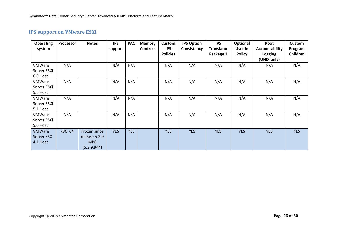# **IPS support on VMware ESXi**

| <b>Operating</b><br>system               | Processor | <b>Notes</b>                                                    | <b>IPS</b><br>support | <b>PAC</b> | <b>Memory</b><br><b>Controls</b> | Custom<br><b>IPS</b><br><b>Policies</b> | <b>IPS Option</b><br>Consistency | <b>IPS</b><br><b>Translator</b><br>Package 1 | Optional<br>User in<br><b>Policy</b> | Root<br><b>Accountability</b><br><b>Logging</b><br>(UNIX only) | <b>Custom</b><br>Program<br>Children |
|------------------------------------------|-----------|-----------------------------------------------------------------|-----------------------|------------|----------------------------------|-----------------------------------------|----------------------------------|----------------------------------------------|--------------------------------------|----------------------------------------------------------------|--------------------------------------|
| <b>VMWare</b><br>Server ESXi<br>6.0 Host | N/A       |                                                                 | N/A                   | N/A        |                                  | N/A                                     | N/A                              | N/A                                          | N/A                                  | N/A                                                            | N/A                                  |
| <b>VMWare</b><br>Server ESXi<br>5.5 Host | N/A       |                                                                 | N/A                   | N/A        |                                  | N/A                                     | N/A                              | N/A                                          | N/A                                  | N/A                                                            | N/A                                  |
| VMWare<br>Server ESXi<br>5.1 Host        | N/A       |                                                                 | N/A                   | N/A        |                                  | N/A                                     | N/A                              | N/A                                          | N/A                                  | N/A                                                            | N/A                                  |
| <b>VMWare</b><br>Server ESXi<br>5.0 Host | N/A       |                                                                 | N/A                   | N/A        |                                  | N/A                                     | N/A                              | N/A                                          | N/A                                  | N/A                                                            | N/A                                  |
| <b>VMWare</b><br>Server ESX<br>4.1 Host  | x86 64    | Frozen since<br>release 5.2.9<br>MP <sub>6</sub><br>(5.2.9.944) | <b>YES</b>            | <b>YES</b> |                                  | <b>YES</b>                              | <b>YES</b>                       | <b>YES</b>                                   | <b>YES</b>                           | <b>YES</b>                                                     | <b>YES</b>                           |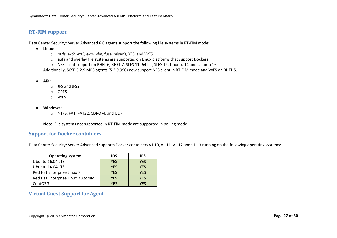### **RT-FIM support**

Data Center Security: Server Advanced 6.8 agents support the following file systems in RT-FIM mode:

- **Linux**:
	- o btrfs, ext2, ext3, ext4, vfat, fuse, reiserfs, XFS, and VxFS
	- o aufs and overlay file systems are supported on Linux platforms that support Dockers
	- o NFS client support on RHEL 6, RHEL 7, SLES 11- 64 bit, SLES 12, Ubuntu 14 and Ubuntu 16

Additionally, SCSP 5.2.9 MP6 agents (5.2.9.990) now support NFS client in RT-FIM mode and VxFS on RHEL 5.

- **AIX:**
	- o JFS and JFS2
	- o GPFS
	- o VxFS
- **Windows:**
	- o NTFS, FAT, FAT32, CDROM, and UDF

**Note:** File systems not supported in RT-FIM mode are supported in polling mode.

#### **Support for Docker containers**

Data Center Security: Server Advanced supports Docker containers v1.10, v1.11, v1.12 and v1.13 running on the following operating systems:

| <b>Operating system</b>           | IDS        | <b>IPS</b> |
|-----------------------------------|------------|------------|
| Ubuntu 16.04 LTS                  | <b>YES</b> | <b>YES</b> |
| Ubuntu 14.04 LTS                  | <b>YES</b> | <b>YES</b> |
| Red Hat Enterprise Linux 7        | <b>YES</b> | <b>YES</b> |
| Red Hat Enterprise Linux 7 Atomic | <b>YES</b> | <b>YES</b> |
| CentOS <sub>7</sub>               | YFS        | YF۲        |

### **Virtual Guest Support for Agent**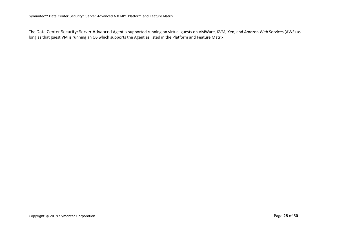The Data Center Security: Server Advanced Agent is supported running on virtual guests on VMWare, KVM, Xen, and Amazon Web Services (AWS) as long as that guest VM is running an OS which supports the Agent as listed in the Platform and Feature Matrix.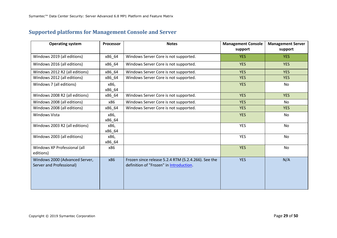# **Supported platforms for Management Console and Server**

| <b>Operating system</b>                                    | Processor      | <b>Notes</b>                                                                                   | <b>Management Console</b><br>support | <b>Management Server</b><br>support |
|------------------------------------------------------------|----------------|------------------------------------------------------------------------------------------------|--------------------------------------|-------------------------------------|
| Windows 2019 (all editions)                                | x86_64         | Windows Server Core is not supported.                                                          | YES.                                 | YES.                                |
| Windows 2016 (all editions)                                | x86_64         | Windows Server Core is not supported.                                                          | <b>YES</b>                           | <b>YES</b>                          |
| Windows 2012 R2 (all editions)                             | x86_64         | Windows Server Core is not supported.                                                          | <b>YES</b>                           | <b>YES</b>                          |
| Windows 2012 (all editions)                                | x86_64         | Windows Server Core is not supported.                                                          | <b>YES</b>                           | <b>YES</b>                          |
| Windows 7 (all editions)                                   | x86,<br>x86_64 |                                                                                                | <b>YES</b>                           | No                                  |
| Windows 2008 R2 (all editions)                             | x86_64         | Windows Server Core is not supported.                                                          | <b>YES</b>                           | <b>YES</b>                          |
| Windows 2008 (all editions)                                | x86            | Windows Server Core is not supported.                                                          | <b>YES</b>                           | <b>No</b>                           |
| Windows 2008 (all editions)                                | x86_64         | Windows Server Core is not supported.                                                          | <b>YES</b>                           | <b>YES</b>                          |
| Windows Vista                                              | x86,<br>x86 64 |                                                                                                | <b>YES</b>                           | No                                  |
| Windows 2003 R2 (all editions)                             | x86,<br>x86_64 |                                                                                                | <b>YES</b>                           | <b>No</b>                           |
| Windows 2003 (all editions)                                | x86,<br>x86_64 |                                                                                                | <b>YES</b>                           | No                                  |
| Windows XP Professional (all<br>editions)                  | x86            |                                                                                                | <b>YES</b>                           | No                                  |
| Windows 2000 (Advanced Server,<br>Server and Professional) | x86            | Frozen since release 5.2.4 RTM (5.2.4.266). See the<br>definition of "Frozen" in Introduction. | <b>YES</b>                           | N/A                                 |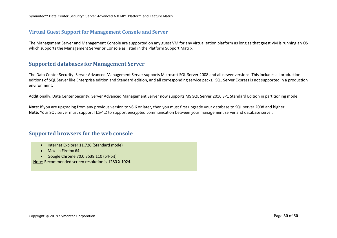#### **Virtual Guest Support for Management Console and Server**

The Management Server and Management Console are supported on any guest VM for any virtualization platform as long as that guest VM is running an OS which supports the Management Server or Console as listed in the Platform Support Matrix.

### **Supported databases for Management Server**

The Data Center Security: Server Advanced Management Server supports Microsoft SQL Server 2008 and all newer versions. This includes all production editions of SQL Server like Enterprise edition and Standard edition, and all corresponding service packs. SQL Server Express is not supported in a production environment.

Additionally, Data Center Security: Server Advanced Management Server now supports MS SQL Server 2016 SP1 Standard Edition in partitioning mode.

**Note**: If you are upgrading from any previous version to v6.6 or later, then you must first upgrade your database to SQL server 2008 and higher. **Note**: Your SQL server must support TLSv1.2 to support encrypted communication between your management server and database server.

### **Supported browsers for the web console**

- Internet Explorer 11.726 (Standard mode)
- Mozilla Firefox 64
- Google Chrome 70.0.3538.110 (64-bit)

Note: Recommended screen resolution is 1280 X 1024.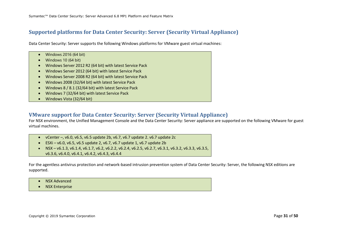### **Supported platforms for Data Center Security: Server (Security Virtual Appliance)**

Data Center Security: Server supports the following Windows platforms for VMware guest virtual machines:

- Windows 2016 (64 bit)
- Windows 10 (64 bit)
- Windows Server 2012 R2 (64 bit) with latest Service Pack
- Windows Server 2012 (64 bit) with latest Service Pack
- Windows Server 2008 R2 (64 bit) with latest Service Pack
- Windows 2008 (32/64 bit) with latest Service Pack
- Windows 8 / 8.1 (32/64 bit) with latest Service Pack
- Windows 7 (32/64 bit) with latest Service Pack
- Windows Vista (32/64 bit)

### **VMware support for Data Center Security: Server (Security Virtual Appliance)**

For NSX environment, the Unified Management Console and the Data Center Security: Server appliance are supported on the following VMware for guest virtual machines.

- vCenter –, v6.0, v6.5, v6.5 update 2b, v6.7, v6.7 update 2. v6.7 update 2c
- ESXi v6.0, v6.5, v6.5 update 2, v6.7, v6.7 update 1, v6.7 update 2b
- NSX v6.1.3, v6.1.4, v6.1.7, v6.2, v6.2.2, v6.2.4, v6.2.5, v6.2.7, v6.3.1, v6.3.2, v6.3.3, v6.3.5, v6.3.6, v6.4.0, v6.4.1, v6.4.2, v6.4.3, v6.4.4

For the agentless antivirus protection and network-based intrusion prevention system of Data Center Security: Server, the following NSX editions are supported.

- NSX Advanced
- NSX Enterprise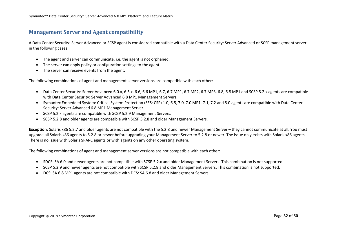### **Management Server and Agent compatibility**

A Data Center Security: Server Advanced or SCSP agent is considered compatible with a Data Center Security: Server Advanced or SCSP management server in the following cases:

- The agent and server can communicate, i.e. the agent is not orphaned.
- The server can apply policy or configuration settings to the agent.
- The server can receive events from the agent.

The following combinations of agent and management server versions are compatible with each other:

- Data Center Security: Server Advanced 6.0.x, 6.5.x, 6.6, 6.6 MP1, 6.7, 6.7 MP1, 6.7 MP2, 6.7 MP3, 6.8, 6.8 MP1 and SCSP 5.2.x agents are compatible with Data Center Security: Server Advanced 6.8 MP1 Management Servers.
- Symantec Embedded System: Critical System Protection (SES: CSP) 1.0, 6.5, 7.0, 7.0 MP1, 7.1, 7.2 and 8.0 agents are compatible with Data Center Security: Server Advanced 6.8 MP1 Management Server.
- SCSP 5.2.x agents are compatible with SCSP 5.2.9 Management Servers.
- SCSP 5.2.8 and older agents are compatible with SCSP 5.2.8 and older Management Servers.

**Exception**: Solaris x86 5.2.7 and older agents are not compatible with the 5.2.8 and newer Management Server – they cannot communicate at all. You must upgrade all Solaris x86 agents to 5.2.8 or newer before upgrading your Management Server to 5.2.8 or newer. The issue only exists with Solaris x86 agents. There is no issue with Solaris SPARC agents or with agents on any other operating system.

The following combinations of agent and management server versions are not compatible with each other:

- SDCS: SA 6.0 and newer agents are not compatible with SCSP 5.2.x and older Management Servers. This combination is not supported.
- SCSP 5.2.9 and newer agents are not compatible with SCSP 5.2.8 and older Management Servers. This combination is not supported.
- DCS: SA 6.8 MP1 agents are not compatible with DCS: SA 6.8 and older Management Servers.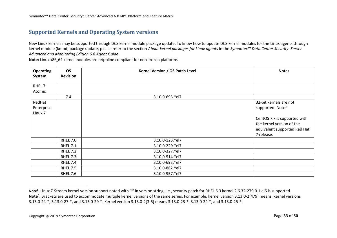# **Supported Kernels and Operating System versions**

New Linux kernels may be supported through DCS kernel module package update. To know how to update DCS kernel modules for the Linux agents through kernel module (kmod) package update, please refer to the section *About kernel packages for Linux agents* in the *Symantec™ Data Center Security: Server Advanced and Monitoring Edition 6.8 Agent Guide*.

**Note:** Linux x86\_64 kernel modules are retpoline compliant for non-frozen platforms.

| <b>Operating</b>                           | <b>OS</b>       | Kernel Version / OS Patch Level | <b>Notes</b>                                                                                            |
|--------------------------------------------|-----------------|---------------------------------|---------------------------------------------------------------------------------------------------------|
| System                                     | <b>Revision</b> |                                 |                                                                                                         |
| RHEL 7                                     |                 |                                 |                                                                                                         |
| Atomic                                     |                 |                                 |                                                                                                         |
|                                            | 7.4             | 3.10.0-693.*el7                 |                                                                                                         |
| RedHat<br>Enterprise<br>Linux <sub>7</sub> |                 |                                 | 32-bit kernels are not<br>supported. Note <sup>2</sup>                                                  |
|                                            |                 |                                 | CentOS 7.x is supported with<br>the kernel version of the<br>equivalent supported Red Hat<br>7 release. |
|                                            | <b>RHEL 7.0</b> | 3.10.0-123.*el7                 |                                                                                                         |
|                                            | <b>RHEL 7.1</b> | 3.10.0-229.*el7                 |                                                                                                         |
|                                            | <b>RHEL 7.2</b> | 3.10.0-327.*el7                 |                                                                                                         |
|                                            | <b>RHEL 7.3</b> | 3.10.0-514.*el7                 |                                                                                                         |
|                                            | <b>RHEL 7.4</b> | 3.10.0-693.*el7                 |                                                                                                         |
|                                            | <b>RHEL 7.5</b> | 3.10.0-862.*el7                 |                                                                                                         |
|                                            | <b>RHEL 7.6</b> | 3.10.0-957.*el7                 |                                                                                                         |

**Note<sup>2</sup>** : Linux Z-Stream kernel version support noted with '\*' in version string, i.e., security patch for RHEL 6.3 kernel 2.6.32-279.0.1.el6 is supported. **Note<sup>3</sup>** : Brackets are used to accommodate multiple kernel versions of the same series. For example, kernel version 3.13.0-2[479] means, kernel versions 3.13.0-24-\*, 3.13.0-27-\*, and 3.13.0-29-\*. Kernel version 3.13.0-2[3-5] means 3.13.0-23-\*, 3.13.0-24-\*, and 3.13.0-25-\*.

 $\overline{\phantom{a}}$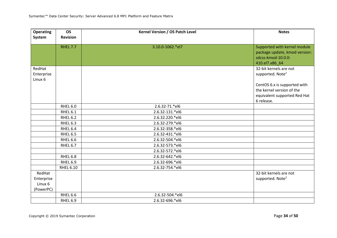| <b>Operating</b>                             | <b>OS</b>        | Kernel Version / OS Patch Level | <b>Notes</b>                                                                                            |
|----------------------------------------------|------------------|---------------------------------|---------------------------------------------------------------------------------------------------------|
| System                                       | <b>Revision</b>  |                                 |                                                                                                         |
|                                              | <b>RHEL 7.7</b>  | 3.10.0-1062.*el7                | Supported with kernel module<br>package update, kmod version:<br>sdcss-kmod-10.0.0-<br>410.el7.x86 64   |
| RedHat<br>Enterprise<br>Linux <sub>6</sub>   |                  |                                 | 32-bit kernels are not<br>supported. Note <sup>2</sup>                                                  |
|                                              |                  |                                 | CentOS 6.x is supported with<br>the kernel version of the<br>equivalent supported Red Hat<br>6 release. |
|                                              | RHEL 6.0         | 2.6.32-71.*el6                  |                                                                                                         |
|                                              | RHEL 6.1         | 2.6.32-131.*el6                 |                                                                                                         |
|                                              | RHEL 6.2         | 2.6.32.220.*el6                 |                                                                                                         |
|                                              | RHEL 6.3         | 2.6.32-279.*el6                 |                                                                                                         |
|                                              | RHEL 6.4         | 2.6.32-358.*el6                 |                                                                                                         |
|                                              | RHEL 6.5         | 2.6.32-431.*el6                 |                                                                                                         |
|                                              | RHEL 6.6         | 2.6.32-504.*el6                 |                                                                                                         |
|                                              | RHEL 6.7         | 2.6.32-573.*el6                 |                                                                                                         |
|                                              |                  | 2.6.32-572.*el6                 |                                                                                                         |
|                                              | RHEL 6.8         | 2.6.32-642.*el6                 |                                                                                                         |
|                                              | RHEL 6.9         | 2.6.32-696.*el6                 |                                                                                                         |
|                                              | <b>RHEL 6.10</b> | 2.6.32-754.*el6                 |                                                                                                         |
| RedHat<br>Enterprise<br>Linux 6<br>(PowerPC) |                  |                                 | 32-bit kernels are not<br>supported. Note <sup>2</sup>                                                  |
|                                              | RHEL 6.6         | 2.6.32-504.*el6                 |                                                                                                         |
|                                              | RHEL 6.9         | 2.6.32-696.*el6                 |                                                                                                         |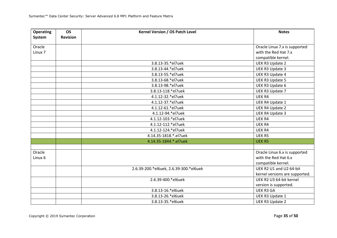| <b>Operating</b><br>System | <b>OS</b><br><b>Revision</b> | Kernel Version / OS Patch Level        | <b>Notes</b>                   |
|----------------------------|------------------------------|----------------------------------------|--------------------------------|
|                            |                              |                                        |                                |
| Oracle                     |                              |                                        | Oracle Linux 7.x is supported  |
| Linux <sub>7</sub>         |                              |                                        | with the Red Hat 7.x           |
|                            |                              |                                        | compatible kernel.             |
|                            |                              | 3.8.13-35.*el7uek                      | UEK R3 Update 2                |
|                            |                              | 3.8.13-44.*el7uek                      | UEK R3 Update 3                |
|                            |                              | 3.8.13-55.*el7uek                      | <b>UEK R3 Update 4</b>         |
|                            |                              | 3.8.13-68.*el7uek                      | <b>UEK R3 Update 5</b>         |
|                            |                              | 3.8.13-98.*el7uek                      | UEK R3 Update 6                |
|                            |                              | 3.8.13-118.*el7uek                     | UEK R3 Update 7                |
|                            |                              | 4.1.12-32.*el7uek                      | UEK R4                         |
|                            |                              | 4.1.12-37.*el7uek                      | <b>UEK R4 Update 1</b>         |
|                            |                              | 4.1.12-61.*el7uek                      | <b>UEK R4 Update 2</b>         |
|                            |                              | 4.1.12-94.*el7uek                      | <b>UEK R4 Update 3</b>         |
|                            |                              | 4.1.12-103.*el7uek                     | UEK R4                         |
|                            |                              | 4.1.12-112.*el7uek                     | UEK R4                         |
|                            |                              | 4.1.12-124.*el7uek                     | UEK R4                         |
|                            |                              | 4.14.35-1818.*.el7uek                  | UEK R5                         |
|                            |                              | 4.14.35-1844.*.el7uek                  | UEK R5                         |
|                            |                              |                                        |                                |
| Oracle                     |                              |                                        | Oracle Linux 6.x is supported  |
| Linux 6                    |                              |                                        | with the Red Hat 6.x           |
|                            |                              |                                        | compatible kernel.             |
|                            |                              | 2.6.39-200.*el6uek, 2.6.39-300.*el6uek | UEK R2 U1 and U2 64-bit        |
|                            |                              |                                        | kernel versions are supported. |
|                            |                              | 2.6.39-400.*el6uek                     | UEK R2 U3 64-bit kernel        |
|                            |                              |                                        | version is supported.          |
|                            |                              | 3.8.13-16.*el6uek                      | <b>UEK R3 GA</b>               |
|                            |                              | 3.8.13-26.*el6uek                      | UEK R3 Update 1                |
|                            |                              | 3.8.13-35.*el6uek                      | UEK R3 Update 2                |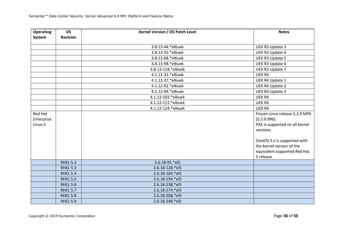| <b>Operating</b><br>System | <b>OS</b><br><b>Revision</b> | Kernel Version / OS Patch Level | <b>Notes</b>                   |
|----------------------------|------------------------------|---------------------------------|--------------------------------|
|                            |                              |                                 |                                |
|                            |                              | 3.8.13-44.*el6uek               | UEK R3 Update 3                |
|                            |                              | 3.8.13-55.*el6uek               | UEK R3 Update 4                |
|                            |                              | 3.8.13-68.*el6uek               | <b>UEK R3 Update 5</b>         |
|                            |                              | 3.8.13-98.*el6uek               | UEK R3 Update 6                |
|                            |                              | 3.8.13-118.*el6uek              | UEK R3 Update 7                |
|                            |                              | 4.1.12-32.*el6uek               | UEK R4                         |
|                            |                              | 4.1.12-37.*el6uek               | UEK R4 Update 1                |
|                            |                              | 4.1.12-61.*el6uek               | <b>UEK R4 Update 2</b>         |
|                            |                              | 4.1.12-94.*el6uek               | <b>UEK R4 Update 3</b>         |
|                            |                              | 4.1.12-103.*el6uek              | UEK R4                         |
|                            |                              | 4.1.12-112.*el6uek              | UEK R4                         |
|                            |                              | 4.1.12-124.*el6uek              | UEK R4                         |
| Red Hat                    |                              |                                 | Frozen since release 5.2.9 MP6 |
| Enterprise                 |                              |                                 | (5.2.9.996).                   |
| Linux 5                    |                              |                                 | PAE is supported on all kernel |
|                            |                              |                                 | versions.                      |
|                            |                              |                                 | CentOS 5.x is supported with   |
|                            |                              |                                 | the kernel version of the      |
|                            |                              |                                 | equivalent supported Red Hat   |
|                            |                              |                                 | 5 release                      |
|                            | <b>RHEL 5.2</b>              | 2.6.18-92.*el5                  |                                |
|                            | <b>RHEL 5.3</b>              | 2.6.18-128.*el5                 |                                |
|                            | <b>RHEL 5.4</b>              | 2.6.18-164.*el5                 |                                |
|                            | <b>RHEL 5.5</b>              | 2.6.18-194.*el5                 |                                |
|                            | <b>RHEL 5.6</b>              | 2.6.18-238.*el5                 |                                |
|                            | <b>RHEL 5.7</b>              | 2.6.18-274.*el5                 |                                |
|                            | <b>RHEL 5.8</b>              | 2.6.18-308.*el5                 |                                |
|                            | <b>RHEL 5.9</b>              | 2.6.18-348.*el5                 |                                |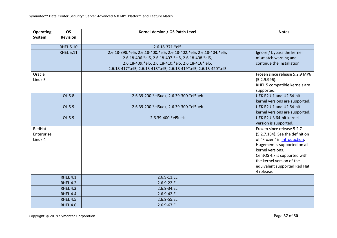| <b>Operating</b><br>System      | <b>OS</b><br><b>Revision</b> | Kernel Version / OS Patch Level                                                                                                                                                                                                                       | <b>Notes</b>                                                                                                                                                                                                                                                |
|---------------------------------|------------------------------|-------------------------------------------------------------------------------------------------------------------------------------------------------------------------------------------------------------------------------------------------------|-------------------------------------------------------------------------------------------------------------------------------------------------------------------------------------------------------------------------------------------------------------|
|                                 |                              |                                                                                                                                                                                                                                                       |                                                                                                                                                                                                                                                             |
|                                 | <b>RHEL 5.10</b>             | 2.6.18-371.*el5                                                                                                                                                                                                                                       |                                                                                                                                                                                                                                                             |
|                                 | <b>RHEL 5.11</b>             | 2.6.18-398.*el5, 2.6.18-400.*el5, 2.6.18-402.*el5, 2.6.18-404.*el5,<br>2.6.18-406.*el5, 2.6.18-407.*el5, 2.6.18-408.*el5,<br>2.6.18-409.*el5, 2.6.18-410.*el5, 2.6.18-416*.el5,<br>2.6.18-417*.el5, 2.6.18-418*.el5, 2.6.18-419*.el5, 2.6.18-420*.el5 | Ignore / bypass the kernel<br>mismatch warning and<br>continue the installation.                                                                                                                                                                            |
| Oracle<br>Linux 5               |                              |                                                                                                                                                                                                                                                       | Frozen since release 5.2.9 MP6<br>(5.2.9.996).<br>RHEL 5 compatible kernels are<br>supported.                                                                                                                                                               |
|                                 | OL 5.8                       | 2.6.39-200.*el5uek, 2.6.39-300.*el5uek                                                                                                                                                                                                                | UEK R2 U1 and U2 64-bit<br>kernel versions are supported.                                                                                                                                                                                                   |
|                                 | OL 5.9                       | 2.6.39-200.*el5uek, 2.6.39-300.*el5uek                                                                                                                                                                                                                | UEK R2 U1 and U2 64-bit<br>kernel versions are supported.                                                                                                                                                                                                   |
|                                 | OL 5.9                       | 2.6.39-400.*el5uek                                                                                                                                                                                                                                    | UEK R2 U3 64-bit kernel<br>version is supported.                                                                                                                                                                                                            |
| RedHat<br>Enterprise<br>Linux 4 |                              |                                                                                                                                                                                                                                                       | Frozen since release 5.2.7<br>(5.2.7.184). See the definition<br>of "Frozen" in Introduction.<br>Hugemem is supported on all<br>kernel versions.<br>CentOS 4.x is supported with<br>the kernel version of the<br>equivalent supported Red Hat<br>4 release. |
|                                 | <b>RHEL 4.1</b>              | 2.6.9-11.EL                                                                                                                                                                                                                                           |                                                                                                                                                                                                                                                             |
|                                 | <b>RHEL 4.2</b>              | 2.6.9-22.EL                                                                                                                                                                                                                                           |                                                                                                                                                                                                                                                             |
|                                 | <b>RHEL 4.3</b>              | 2.6.9-34.EL                                                                                                                                                                                                                                           |                                                                                                                                                                                                                                                             |
|                                 | RHEL 4.4                     | 2.6.9-42.EL                                                                                                                                                                                                                                           |                                                                                                                                                                                                                                                             |
|                                 | <b>RHEL 4.5</b>              | 2.6.9-55.EL                                                                                                                                                                                                                                           |                                                                                                                                                                                                                                                             |
|                                 | <b>RHEL 4.6</b>              | 2.6.9-67.EL                                                                                                                                                                                                                                           |                                                                                                                                                                                                                                                             |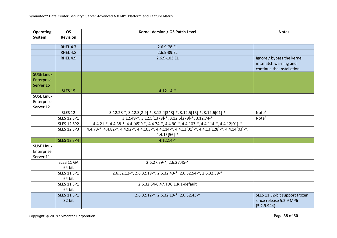| <b>Operating</b><br>System                   | <b>OS</b><br><b>Revision</b> | Kernel Version / OS Patch Level                                                                                                          | <b>Notes</b>                                                                     |
|----------------------------------------------|------------------------------|------------------------------------------------------------------------------------------------------------------------------------------|----------------------------------------------------------------------------------|
|                                              |                              |                                                                                                                                          |                                                                                  |
|                                              | <b>RHEL 4.7</b>              | 2.6.9-78.EL                                                                                                                              |                                                                                  |
|                                              | RHEL 4.8                     | 2.6.9-89.EL                                                                                                                              |                                                                                  |
|                                              | <b>RHEL 4.9</b>              | 2.6.9-103.EL                                                                                                                             | Ignore / bypass the kernel<br>mismatch warning and<br>continue the installation. |
| <b>SUSE Linux</b>                            |                              |                                                                                                                                          |                                                                                  |
| Enterprise<br>Server 15                      |                              |                                                                                                                                          |                                                                                  |
|                                              | <b>SLES 15</b>               | $4.12.14-*$                                                                                                                              |                                                                                  |
| <b>SUSE Linux</b><br>Enterprise<br>Server 12 |                              |                                                                                                                                          |                                                                                  |
|                                              | <b>SLES 12</b>               | $3.12.28$ <sup>*</sup> , $3.12.3[2-9]$ <sup>*</sup> , $3.12.4[348]$ <sup>*</sup> , $3.12.5[15]$ <sup>*</sup> , $3.12.6[01]$ <sup>*</sup> | Note <sup>3</sup>                                                                |
|                                              | <b>SLES 12 SP1</b>           | 3.12.49-*, 3.12.5[1379]-*, 3.12.6[279]-*, 3.12.74-*                                                                                      | Note <sup>3</sup>                                                                |
|                                              | <b>SLES 12 SP2</b>           | 4.4.21-*, 4.4.38-*, 4.4.[45]9-*, 4.4.74-*, 4.4.90-*, 4.4.103-*, 4.4.114-*, 4.4.12[01]-*                                                  |                                                                                  |
|                                              | <b>SLES 12 SP3</b>           | 4.4.73-*, 4.4.82-*, 4.4.92-*, 4.4.103-*, 4.4.114-*, 4.4.12[01]-*, 4.4.13[128]-*, 4.4.14[03]-*,<br>$4.4.15[56]$ -*                        |                                                                                  |
|                                              | <b>SLES 12 SP4</b>           | $4.12.14-*$                                                                                                                              |                                                                                  |
| <b>SUSE Linux</b>                            |                              |                                                                                                                                          |                                                                                  |
| Enterprise<br>Server 11                      |                              |                                                                                                                                          |                                                                                  |
|                                              | SLES 11 GA<br>64 bit         | 2.6.27.39-*, 2.6.27.45-*                                                                                                                 |                                                                                  |
|                                              | <b>SLES 11 SP1</b><br>64 bit | 2.6.32.12-*, 2.6.32.19-*, 2.6.32.43-*, 2.6.32.54-*, 2.6.32.59-*                                                                          |                                                                                  |
|                                              | <b>SLES 11 SP1</b><br>64 bit | 2.6.32.54-0.47.TDC.1.R.1-default                                                                                                         |                                                                                  |
|                                              | <b>SLES 11 SP1</b><br>32 bit | 2.6.32.12-*, 2.6.32.19-*, 2.6.32.43-*                                                                                                    | SLES 11 32-bit support frozen<br>since release 5.2.9 MP6<br>(5.2.9.944).         |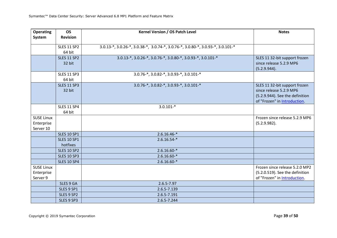| <b>Operating</b><br>System                   | <b>OS</b><br><b>Revision</b>   | Kernel Version / OS Patch Level                                                 | <b>Notes</b>                                                                                                                |
|----------------------------------------------|--------------------------------|---------------------------------------------------------------------------------|-----------------------------------------------------------------------------------------------------------------------------|
|                                              | <b>SLES 11 SP2</b>             | 3.0.13-*, 3.0.26-*, 3.0.38-*, 3.0.74-*, 3.0.76-*, 3.0.80-*, 3.0.93-*, 3.0.101-* |                                                                                                                             |
|                                              | 64 bit                         |                                                                                 |                                                                                                                             |
|                                              | <b>SLES 11 SP2</b><br>32 bit   | 3.0.13-*, 3.0.26-*, 3.0.76-*, 3.0.80-*, 3.0.93-*, 3.0.101-*                     | SLES 11 32-bit support frozen<br>since release 5.2.9 MP6<br>(5.2.9.944).                                                    |
|                                              | <b>SLES 11 SP3</b><br>64 bit   | 3.0.76-*, 3.0.82-*, 3.0.93-*, 3.0.101-*                                         |                                                                                                                             |
|                                              | <b>SLES 11 SP3</b><br>32 bit   | 3.0.76-*, 3.0.82-*, 3.0.93-*, 3.0.101-*                                         | SLES 11 32-bit support frozen<br>since release 5.2.9 MP6<br>(5.2.9.944). See the definition<br>of "Frozen" in Introduction. |
|                                              | <b>SLES 11 SP4</b><br>64 bit   | $3.0.101-*$                                                                     |                                                                                                                             |
| <b>SUSE Linux</b><br>Enterprise<br>Server 10 |                                |                                                                                 | Frozen since release 5.2.9 MP6<br>(5.2.9.982).                                                                              |
|                                              | <b>SLES 10 SP1</b>             | $2.6.16.46-*$                                                                   |                                                                                                                             |
|                                              | <b>SLES 10 SP1</b><br>hotfixes | $2.6.16.54-*$                                                                   |                                                                                                                             |
|                                              | <b>SLES 10 SP2</b>             | $2.6.16.60-*$                                                                   |                                                                                                                             |
|                                              | <b>SLES 10 SP3</b>             | $2.6.16.60-*$                                                                   |                                                                                                                             |
|                                              | <b>SLES 10 SP4</b>             | $2.6.16.60-*$                                                                   |                                                                                                                             |
| <b>SUSE Linux</b><br>Enterprise<br>Server 9  |                                |                                                                                 | Frozen since release 5.2.0 MP2<br>(5.2.0.519). See the definition<br>of "Frozen" in Introduction.                           |
|                                              | SLES 9 GA                      | 2.6.5-7.97                                                                      |                                                                                                                             |
|                                              | SLES 9 SP1                     | 2.6.5-7.139                                                                     |                                                                                                                             |
|                                              | SLES 9 SP2                     | 2.6.5-7.191                                                                     |                                                                                                                             |
|                                              | SLES 9 SP3                     | 2.6.5-7.244                                                                     |                                                                                                                             |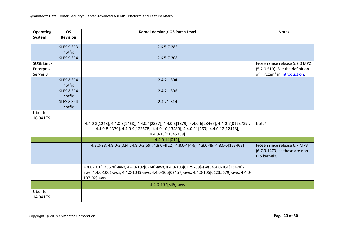| <b>Operating</b><br>System | <b>OS</b><br><b>Revision</b> | Kernel Version / OS Patch Level                                                                                                                                                                         | <b>Notes</b>                                                                  |
|----------------------------|------------------------------|---------------------------------------------------------------------------------------------------------------------------------------------------------------------------------------------------------|-------------------------------------------------------------------------------|
|                            |                              |                                                                                                                                                                                                         |                                                                               |
|                            | SLES 9 SP3                   | 2.6.5-7.283                                                                                                                                                                                             |                                                                               |
|                            | hotfix                       |                                                                                                                                                                                                         |                                                                               |
|                            | SLES 9 SP4                   | 2.6.5-7.308                                                                                                                                                                                             |                                                                               |
| <b>SUSE Linux</b>          |                              |                                                                                                                                                                                                         | Frozen since release 5.2.0 MP2                                                |
| Enterprise<br>Server 8     |                              |                                                                                                                                                                                                         | (5.2.0.519). See the definition<br>of "Frozen" in Introduction.               |
|                            | SLES 8 SP4                   | 2.4.21-304                                                                                                                                                                                              |                                                                               |
|                            | hotfix                       |                                                                                                                                                                                                         |                                                                               |
|                            | SLES 8 SP4<br>hotfix         | 2.4.21-306                                                                                                                                                                                              |                                                                               |
|                            | SLES 8 SP4                   | 2.4.21-314                                                                                                                                                                                              |                                                                               |
|                            | hotfix                       |                                                                                                                                                                                                         |                                                                               |
| Ubuntu                     |                              |                                                                                                                                                                                                         |                                                                               |
| 16.04 LTS                  |                              |                                                                                                                                                                                                         |                                                                               |
|                            |                              | 4.4.0-2[1248], 4.4.0-3[1468], 4.4.0.4[2357], 4.4.0-5[1379], 4.4.0-6[23467], 4.4.0-7[0125789],<br>4.4.0-8[1379], 4.4.0-9[123678], 4.4.0-10[13489], 4.4.0-11[269], 4.4.0-12[12478],<br>4.4.0-13[01345789] | Note <sup>3</sup>                                                             |
|                            |                              | $4.4.0 - 14[012],$                                                                                                                                                                                      |                                                                               |
|                            |                              | 4.8.0-28, 4.8.0-3[024], 4.8.0-3[69], 4.8.0-4[12], 4.8.0-4[4-6], 4.8.0-49, 4.8.0-5[123468]                                                                                                               | Frozen since release 6.7 MP3<br>(6.7.3.1473) as these are non<br>LTS kernels. |
|                            |                              | 4.4.0-101[123678]-aws, 4.4.0-102[0268]-aws, 4.4.0-103[0125789]-aws, 4.4.0-104[13478]-<br>aws, 4.4.0-1001-aws, 4.4.0-1049-aws, 4.4.0-105[02457]-aws, 4.4.0-106[01235679]-aws, 4.4.0-<br>107[02]-aws      |                                                                               |
|                            |                              | 4.4.0-107[345]-aws                                                                                                                                                                                      |                                                                               |
| Ubuntu                     |                              |                                                                                                                                                                                                         |                                                                               |
| 14.04 LTS                  |                              |                                                                                                                                                                                                         |                                                                               |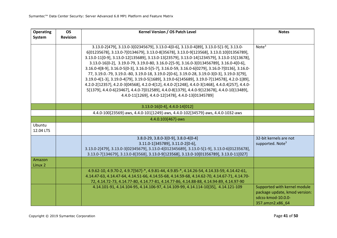| <b>Operating</b><br>System | <b>OS</b><br><b>Revision</b> | Kernel Version / OS Patch Level                                                                                                                                                                                                                                                                                                                                                                                                                                                                                                                                                                                                                                                                                                                                                                                                                                                                                                         | <b>Notes</b>                                                                                            |
|----------------------------|------------------------------|-----------------------------------------------------------------------------------------------------------------------------------------------------------------------------------------------------------------------------------------------------------------------------------------------------------------------------------------------------------------------------------------------------------------------------------------------------------------------------------------------------------------------------------------------------------------------------------------------------------------------------------------------------------------------------------------------------------------------------------------------------------------------------------------------------------------------------------------------------------------------------------------------------------------------------------------|---------------------------------------------------------------------------------------------------------|
|                            |                              | 3.13.0-2[479], 3.13.0-3[02345679], 3.13.0-4[0-6], 3.13.0-4[89], 3.13.0-5[1-9], 3.13.0-<br>6[01235678], 3.13.0-7[0134679], 3.13.0-8[35678], 3.13.0-9[123568], 3.13.0.10[01356789],<br>3.13.0-11[0-9], 3.13.0-12[135689], 3.13.0-13[23579], 3.13.0-14[1234579], 3.13.0-15[13678],<br>3.13.0-16[0-2], 3.19.0-79, 3.19.0-80, 3.16.0-2[5-9], 3.16.0-3[013456789], 3.16.0-4[0-6],<br>3.16.0-4[8-9], 3.16.0-5[0-3], 3.16.0-5[5-7], 3.16.0-59, 3.16.0-6[0279], 3.16.0-7[0136], 3.16.0-<br>77, 3.19.0.-79, 3.19.0.-80, 3.19.0-18, 3.19.0-2[0-6], 3.19.0-28, 3.19.0-3[0-3], 3.19.0-3[79],<br>3.19.0-4[1-3], 3.19.0-4[79], 3.19.0-5[1689], 3.19.0-6[145689], 3.19.0-7[134578], 4.2.0-1[89],<br>4.2.0-2[12357], 4.2.0-3[04568], 4.2.0-4[12], 4.4.0-2[1248], 4.4.0-3[1468], 4.4.0.4[257], 4.4.0-<br>5[1379], 4.4.0-6[23467], 4.4.0-7[012589], 4.4.0-8[1379], 4.4.0-9[123678], 4.4.0-10[13489],<br>4.4.0-11[1269], 4.4.0-12[1478], 4.4.0-13[01345789] | Note <sup>3</sup>                                                                                       |
|                            |                              | 3.13.0-16[0-4], 4.4.0-14[012]                                                                                                                                                                                                                                                                                                                                                                                                                                                                                                                                                                                                                                                                                                                                                                                                                                                                                                           |                                                                                                         |
|                            |                              | 4.4.0-100[23569]-aws, 4.4.0-101[1249]-aws, 4.4.0-102[34579]-aws, 4.4.0-1032-aws                                                                                                                                                                                                                                                                                                                                                                                                                                                                                                                                                                                                                                                                                                                                                                                                                                                         |                                                                                                         |
|                            |                              | 4.4.0.103[467]-aws                                                                                                                                                                                                                                                                                                                                                                                                                                                                                                                                                                                                                                                                                                                                                                                                                                                                                                                      |                                                                                                         |
| Ubuntu<br>12.04 LTS        |                              |                                                                                                                                                                                                                                                                                                                                                                                                                                                                                                                                                                                                                                                                                                                                                                                                                                                                                                                                         |                                                                                                         |
|                            |                              | $3.8.0 - 29, 3.8.0 - 3[0 - 9], 3.8.0 - 4[0 - 4]$<br>3.11.0-1[345789], 3.11.0-2[0-6],<br>3.13.0-2[479], 3.13.0-3[02345679], 3.13.0-4[012345689], 3.13.0-5[1-9], 3.13.0-6[01235678],<br>3.13.0-7[134679], 3.13.0-8[3568], 3.13.0-9[123568], 3.13.0-10[01356789], 3.13.0-11[027]                                                                                                                                                                                                                                                                                                                                                                                                                                                                                                                                                                                                                                                           | 32-bit kernels are not<br>supported. Note <sup>3</sup>                                                  |
| Amazon<br>Linux 2          |                              |                                                                                                                                                                                                                                                                                                                                                                                                                                                                                                                                                                                                                                                                                                                                                                                                                                                                                                                                         |                                                                                                         |
|                            |                              | 4.9.62-10, 4.9.70-2, 4.9.7[567]-*, 4.9.81-44, 4.9.85-*, 4.14.26-54, 4.14.33-59, 4.14.42-61,<br>4.14.47-63, 4.14.47-64, 4.14.51-66, 4.14.55-68, 4.14.59-68, 4.14.62-70, 4.14.67-71, 4.14.70-<br>72, 4.14.72-73, 4.14.77-80, 4.14.77-81, 4.14.77-86, 4.14.88-88, 4.14.94-89, 4.14.97-90                                                                                                                                                                                                                                                                                                                                                                                                                                                                                                                                                                                                                                                   |                                                                                                         |
|                            |                              | 4.14.101-91, 4.14.104-95, 4.14.106-97, 4.14.109-99, 4.14.114-10[35], 4.14.121-109                                                                                                                                                                                                                                                                                                                                                                                                                                                                                                                                                                                                                                                                                                                                                                                                                                                       | Supported with kernel module<br>package update, kmod version:<br>sdcss-kmod-10.0.0-<br>357.amzn2.x86 64 |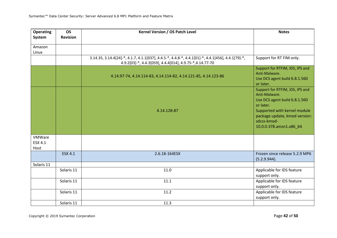| <b>Operating</b><br>System | <b>OS</b><br><b>Revision</b> | Kernel Version / OS Patch Level                                                                                                                                | <b>Notes</b>                                                                                                                                                                                              |
|----------------------------|------------------------------|----------------------------------------------------------------------------------------------------------------------------------------------------------------|-----------------------------------------------------------------------------------------------------------------------------------------------------------------------------------------------------------|
| Amazon<br>Linux            |                              |                                                                                                                                                                |                                                                                                                                                                                                           |
|                            |                              | 3.14.35, 3.14.4[24]-*, 4.1.7, 4.1.1[037], 4.4.5-*, 4.4.8-*, 4.4.1[01]-*, 4.4.1[456], 4.4.1[79]-*,<br>4.9.2[03]-*, 4.4.3[059], 4.4.4[014], 4.9.75-*, 4.14.77-70 | Support for RT FIM only.                                                                                                                                                                                  |
|                            |                              | 4.14.97-74, 4.14.114-83, 4.14.114-82, 4.14.121-85, 4.14.123-86                                                                                                 | Support for RTFIM, IDS, IPS and<br>Anti-Malware.<br>Use DCS agent build 6.8.1.560<br>or later.                                                                                                            |
|                            |                              | 4.14.128-87                                                                                                                                                    | Support for RTFIM, IDS, IPS and<br>Anti-Malware.<br>Use DCS agent build 6.8.1.560<br>or later.<br>Supported with kernel module<br>package update, kmod version:<br>sdcss-kmod-<br>10.0.0.378.amzn1.x86_64 |
| VMWare<br>ESX 4.1<br>Host  |                              |                                                                                                                                                                |                                                                                                                                                                                                           |
|                            | <b>ESX 4.1</b>               | 2.6.18-164ESX                                                                                                                                                  | Frozen since release 5.2.9 MP6<br>(5.2.9.944).                                                                                                                                                            |
| Solaris 11                 |                              |                                                                                                                                                                |                                                                                                                                                                                                           |
|                            | Solaris 11                   | 11.0                                                                                                                                                           | Applicable for IDS feature<br>support only.                                                                                                                                                               |
|                            | Solaris 11                   | 11.1                                                                                                                                                           | Applicable for IDS feature<br>support only.                                                                                                                                                               |
|                            | Solaris 11                   | 11.2                                                                                                                                                           | Applicable for IDS feature<br>support only.                                                                                                                                                               |
|                            | Solaris 11                   | 11.3                                                                                                                                                           |                                                                                                                                                                                                           |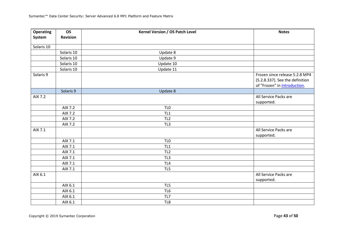| <b>Operating</b> | <b>OS</b><br><b>Revision</b> | Kernel Version / OS Patch Level | <b>Notes</b>                                                                                      |
|------------------|------------------------------|---------------------------------|---------------------------------------------------------------------------------------------------|
| System           |                              |                                 |                                                                                                   |
| Solaris 10       |                              |                                 |                                                                                                   |
|                  | Solaris 10                   | Update 8                        |                                                                                                   |
|                  | Solaris 10                   | Update 9                        |                                                                                                   |
|                  | Solaris 10                   | Update 10                       |                                                                                                   |
|                  | Solaris 10                   | Update 11                       |                                                                                                   |
| Solaris 9        |                              |                                 | Frozen since release 5.2.8 MP4<br>(5.2.8.337). See the definition<br>of "Frozen" in Introduction. |
|                  | Solaris 9                    | Update 8                        |                                                                                                   |
| AIX 7.2          |                              |                                 | All Service Packs are<br>supported.                                                               |
|                  | AIX 7.2                      | TL <sub>0</sub>                 |                                                                                                   |
|                  | AIX 7.2                      | TL <sub>1</sub>                 |                                                                                                   |
|                  | AIX 7.2                      | TL <sub>2</sub>                 |                                                                                                   |
|                  | AIX 7.2                      | TL3                             |                                                                                                   |
| AIX 7.1          |                              |                                 | All Service Packs are<br>supported.                                                               |
|                  | AIX 7.1                      | TL <sub>0</sub>                 |                                                                                                   |
|                  | AIX 7.1                      | TL <sub>1</sub>                 |                                                                                                   |
|                  | AIX 7.1                      | TL <sub>2</sub>                 |                                                                                                   |
|                  | AIX 7.1                      | TL3                             |                                                                                                   |
|                  | AIX 7.1                      | TL4                             |                                                                                                   |
|                  | AIX 7.1                      | TL5                             |                                                                                                   |
| AIX 6.1          |                              |                                 | All Service Packs are<br>supported.                                                               |
|                  | AIX 6.1                      | TL5                             |                                                                                                   |
|                  | AIX 6.1                      | TL6                             |                                                                                                   |
|                  | AIX 6.1                      | TL7                             |                                                                                                   |
|                  | AIX 6.1                      | TL8                             |                                                                                                   |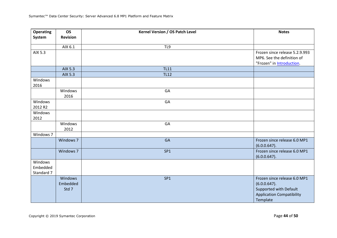| <b>Operating</b>                  | <b>OS</b>                           | Kernel Version / OS Patch Level | <b>Notes</b>                                                                                                              |
|-----------------------------------|-------------------------------------|---------------------------------|---------------------------------------------------------------------------------------------------------------------------|
| System                            | <b>Revision</b>                     |                                 |                                                                                                                           |
|                                   | AIX 6.1                             | TL9                             |                                                                                                                           |
| AIX 5.3                           |                                     |                                 | Frozen since release 5.2.9.993<br>MP6. See the definition of<br>"Frozen" in <b>Introduction</b> .                         |
|                                   | AIX 5.3                             | <b>TL11</b>                     |                                                                                                                           |
|                                   | AIX 5.3                             | <b>TL12</b>                     |                                                                                                                           |
| Windows<br>2016                   |                                     |                                 |                                                                                                                           |
|                                   | Windows<br>2016                     | GA                              |                                                                                                                           |
| Windows<br>2012 R2                |                                     | GA                              |                                                                                                                           |
| Windows<br>2012                   |                                     |                                 |                                                                                                                           |
|                                   | Windows<br>2012                     | GA                              |                                                                                                                           |
| Windows 7                         |                                     |                                 |                                                                                                                           |
|                                   | Windows 7                           | GA                              | Frozen since release 6.0 MP1<br>(6.0.0.647).                                                                              |
|                                   | Windows 7                           | SP <sub>1</sub>                 | Frozen since release 6.0 MP1<br>(6.0.0.647).                                                                              |
| Windows<br>Embedded<br>Standard 7 |                                     |                                 |                                                                                                                           |
|                                   | <b>Windows</b><br>Embedded<br>Std 7 | SP1                             | Frozen since release 6.0 MP1<br>$(6.0.0.647)$ .<br>Supported with Default<br><b>Application Compatibility</b><br>Template |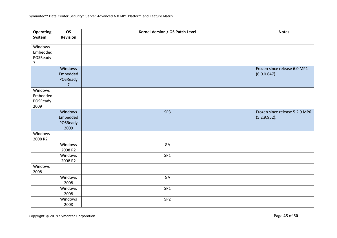| <b>Operating</b><br>System                        | <b>OS</b><br><b>Revision</b>                      | Kernel Version / OS Patch Level | <b>Notes</b>                                    |
|---------------------------------------------------|---------------------------------------------------|---------------------------------|-------------------------------------------------|
| Windows<br>Embedded<br>POSReady<br>$\overline{7}$ |                                                   |                                 |                                                 |
|                                                   | Windows<br>Embedded<br>POSReady<br>$\overline{7}$ |                                 | Frozen since release 6.0 MP1<br>$(6.0.0.647)$ . |
| Windows<br>Embedded<br>POSReady<br>2009           |                                                   |                                 |                                                 |
|                                                   | Windows<br>Embedded<br>POSReady<br>2009           | SP <sub>3</sub>                 | Frozen since release 5.2.9 MP6<br>(5.2.9.952).  |
| Windows<br>2008 R2                                |                                                   |                                 |                                                 |
|                                                   | Windows<br>2008 R2                                | GA                              |                                                 |
|                                                   | Windows<br>2008 R2                                | SP <sub>1</sub>                 |                                                 |
| Windows<br>2008                                   |                                                   |                                 |                                                 |
|                                                   | Windows<br>2008                                   | GA                              |                                                 |
|                                                   | Windows<br>2008                                   | SP <sub>1</sub>                 |                                                 |
|                                                   | Windows<br>2008                                   | SP <sub>2</sub>                 |                                                 |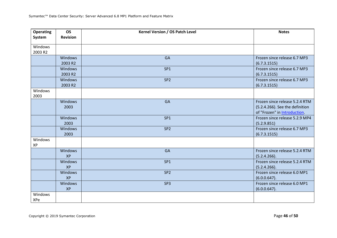| System<br><b>Revision</b><br>Windows<br>2003 R2<br>GA<br>Frozen since release 6.7 MP3<br>Windows<br>2003 R2<br>(6.7.3.1515) |
|-----------------------------------------------------------------------------------------------------------------------------|
|                                                                                                                             |
|                                                                                                                             |
|                                                                                                                             |
|                                                                                                                             |
|                                                                                                                             |
| Frozen since release 6.7 MP3<br>SP <sub>1</sub><br><b>Windows</b>                                                           |
| 2003 R2<br>(6.7.3.1515)                                                                                                     |
| SP <sub>2</sub><br>Frozen since release 6.7 MP3<br>Windows                                                                  |
| 2003 R2<br>(6.7.3.1515)                                                                                                     |
| Windows                                                                                                                     |
| 2003                                                                                                                        |
| Frozen since release 5.2.4 RTM<br>Windows<br>GA                                                                             |
| 2003<br>(5.2.4.266). See the definition                                                                                     |
| of "Frozen" in Introduction.                                                                                                |
| Windows<br>Frozen since release 5.2.9 MP4<br>SP <sub>1</sub>                                                                |
| 2003<br>(5.2.9.851)                                                                                                         |
| Frozen since release 6.7 MP3<br>SP <sub>2</sub><br>Windows                                                                  |
| 2003<br>(6.7.3.1515)                                                                                                        |
| Windows                                                                                                                     |
| XP                                                                                                                          |
| Windows<br>GA<br>Frozen since release 5.2.4 RTM<br><b>XP</b>                                                                |
| (5.2.4.266).<br>Frozen since release 5.2.4 RTM<br>SP <sub>1</sub><br>Windows                                                |
| <b>XP</b>                                                                                                                   |
| (5.2.4.266).<br>SP <sub>2</sub><br>Frozen since release 6.0 MP1                                                             |
| Windows<br><b>XP</b><br>$(6.0.0.647)$ .                                                                                     |
| Frozen since release 6.0 MP1<br>Windows<br>SP <sub>3</sub>                                                                  |
| <b>XP</b><br>(6.0.0.647).                                                                                                   |
| Windows                                                                                                                     |
| XPe                                                                                                                         |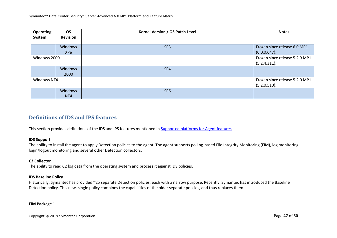| <b>Operating</b><br>System | <b>OS</b><br><b>Revision</b> | Kernel Version / OS Patch Level | <b>Notes</b>                                    |
|----------------------------|------------------------------|---------------------------------|-------------------------------------------------|
|                            | Windows<br><b>XPe</b>        | SP <sub>3</sub>                 | Frozen since release 6.0 MP1<br>$(6.0.0.647)$ . |
| Windows 2000               |                              |                                 | Frozen since release 5.2.9 MP1<br>(5.2.4.311).  |
|                            | Windows<br>2000              | SP4                             |                                                 |
| Windows NT4                |                              |                                 | Frozen since release 5.2.0 MP1<br>(5.2.0.510).  |
|                            | Windows<br>NT <sub>4</sub>   | SP <sub>6</sub>                 |                                                 |

### **Definitions of IDS and IPS features**

This section provides definitions of the IDS and IPS features mentioned in Supported platforms for Agent features.

#### **IDS Support**

The ability to install the agent to apply Detection policies to the agent. The agent supports polling-based File Integrity Monitoring (FIM), log monitoring, login/logout monitoring and several other Detection collectors.

#### **C2 Collector**

The ability to read C2 log data from the operating system and process it against IDS policies.

#### **IDS Baseline Policy**

Historically, Symantec has provided ~25 separate Detection policies, each with a narrow purpose. Recently, Symantec has introduced the Baseline Detection policy. This new, single policy combines the capabilities of the older separate policies, and thus replaces them.

#### **FIM Package 1**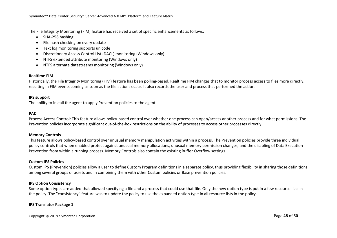The File Integrity Monitoring (FIM) feature has received a set of specific enhancements as follows:

- SHA-256 hashing
- File hash checking on every update
- Text log monitoring supports unicode
- Discretionary Access Control List (DACL) monitoring (Windows only)
- NTFS extended attribute monitoring (Windows only)
- NTFS alternate datastreams monitoring (Windows only)

#### **Realtime FIM**

Historically, the File Integrity Monitoring (FIM) feature has been polling-based. Realtime FIM changes that to monitor process access to files more directly, resulting in FIM events coming as soon as the file actions occur. It also records the user and process that performed the action.

#### **IPS support**

The ability to install the agent to apply Prevention policies to the agent.

#### **PAC**

Process Access Control: This feature allows policy-based control over whether one process can open/access another process and for what permissions. The Prevention policies incorporate significant out-of-the-box restrictions on the ability of processes to access other processes directly.

#### **Memory Controls**

This feature allows policy-based control over unusual memory manipulation activities within a process. The Prevention policies provide three individual policy controls that when enabled protect against unusual memory allocations, unusual memory permission changes, and the disabling of Data Execution Prevention from within a running process. Memory Controls also contain the existing Buffer Overflow settings.

#### **Custom IPS Policies**

Custom IPS (Prevention) policies allow a user to define Custom Program definitions in a separate policy, thus providing flexibility in sharing those definitions among several groups of assets and in combining them with other Custom policies or Base prevention policies.

#### **IPS Option Consistency**

Some option types are added that allowed specifying a file and a process that could use that file. Only the new option type is put in a few resource lists in the policy. The "consistency" feature was to update the policy to use the expanded option type in all resource lists in the policy.

#### **IPS Translator Package 1**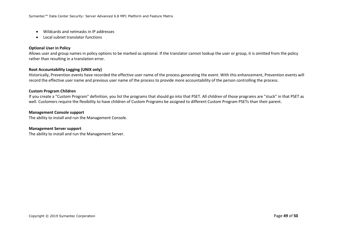- Wildcards and netmasks in IP addresses
- Local subnet translator functions

#### **Optional User in Policy**

Allows user and group names in policy options to be marked as optional. If the translator cannot lookup the user or group, it is omitted from the policy rather than resulting in a translation error.

#### **Root Accountability Logging (UNIX only)**

Historically, Prevention events have recorded the effective user name of the process generating the event. With this enhancement, Prevention events will record the effective user name and previous user name of the process to provide more accountability of the person controlling the process.

#### **Custom Program Children**

If you create a "Custom Program" definition, you list the programs that should go into that PSET. All children of those programs are "stuck" in that PSET as well. Customers require the flexibility to have children of Custom Programs be assigned to different Custom Program PSETs than their parent.

#### **Management Console support**

The ability to install and run the Management Console.

#### **Management Server support**

The ability to install and run the Management Server.